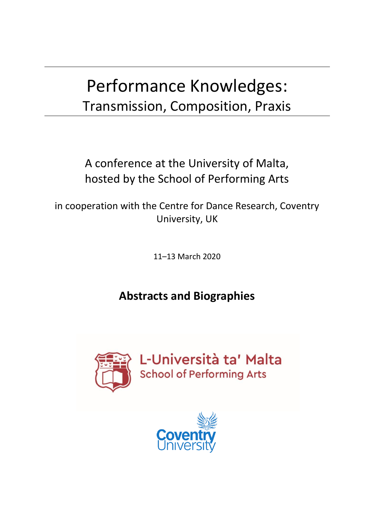# Performance Knowledges: Transmission, Composition, Praxis

A conference at the University of Malta, hosted by the School of Performing Arts

in cooperation with the Centre for Dance Research, Coventry University, UK

11–13 March 2020

## **Abstracts and Biographies**



L-Università ta' Malta School of Performing Arts

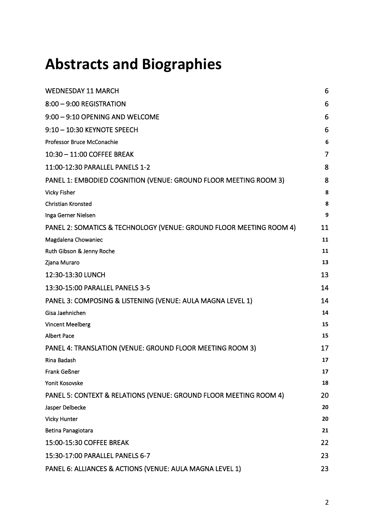## **Abstracts and Biographies**

| <b>WEDNESDAY 11 MARCH</b>                                           | 6              |
|---------------------------------------------------------------------|----------------|
| 8:00 - 9:00 REGISTRATION                                            | 6              |
| 9:00 - 9:10 OPENING AND WELCOME                                     | 6              |
| 9:10 - 10:30 KEYNOTE SPEECH                                         | 6              |
| Professor Bruce McConachie                                          | 6              |
| 10:30 - 11:00 COFFEE BREAK                                          | $\overline{7}$ |
| 11:00-12:30 PARALLEL PANELS 1-2                                     | 8              |
| PANEL 1: EMBODIED COGNITION (VENUE: GROUND FLOOR MEETING ROOM 3)    | 8              |
| <b>Vicky Fisher</b>                                                 | 8              |
| Christian Kronsted                                                  | 8              |
| Inga Gerner Nielsen                                                 | 9              |
| PANEL 2: SOMATICS & TECHNOLOGY (VENUE: GROUND FLOOR MEETING ROOM 4) | 11             |
| Magdalena Chowaniec                                                 | 11             |
| Ruth Gibson & Jenny Roche                                           | 11             |
| Zjana Muraro                                                        | 13             |
| 12:30-13:30 LUNCH                                                   | 13             |
| 13:30-15:00 PARALLEL PANELS 3-5                                     | 14             |
| PANEL 3: COMPOSING & LISTENING (VENUE: AULA MAGNA LEVEL 1)          | 14             |
| Gisa Jaehnichen                                                     | 14             |
| <b>Vincent Meelberg</b>                                             | 15             |
| <b>Albert Pace</b>                                                  | 15             |
| PANEL 4: TRANSLATION (VENUE: GROUND FLOOR MEETING ROOM 3)           | 17             |
| Rina Badash                                                         | 17             |
| Frank Geßner                                                        | 17             |
| Yonit Kosovske                                                      | 18             |
| PANEL 5: CONTEXT & RELATIONS (VENUE: GROUND FLOOR MEETING ROOM 4)   | 20             |
| Jasper Delbecke                                                     | 20             |
| <b>Vicky Hunter</b>                                                 | 20             |
| Betina Panagiotara                                                  | 21             |
| 15:00-15:30 COFFEE BREAK                                            | 22             |
| 15:30-17:00 PARALLEL PANELS 6-7                                     | 23             |
| PANEL 6: ALLIANCES & ACTIONS (VENUE: AULA MAGNA LEVEL 1)            | 23             |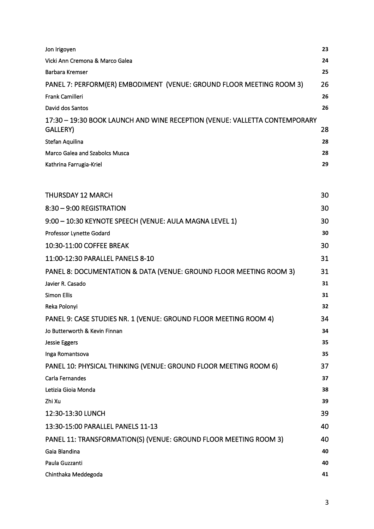| Jon Irigoyen                                                                           | 23 |
|----------------------------------------------------------------------------------------|----|
| Vicki Ann Cremona & Marco Galea                                                        | 24 |
| <b>Barbara Kremser</b>                                                                 | 25 |
| PANEL 7: PERFORM(ER) EMBODIMENT (VENUE: GROUND FLOOR MEETING ROOM 3)                   | 26 |
| Frank Camilleri                                                                        | 26 |
| David dos Santos                                                                       | 26 |
| 17:30 - 19:30 BOOK LAUNCH AND WINE RECEPTION (VENUE: VALLETTA CONTEMPORARY<br>GALLERY) | 28 |
| Stefan Aquilina                                                                        | 28 |
| Marco Galea and Szabolcs Musca                                                         | 28 |
| Kathrina Farrugia-Kriel                                                                | 29 |
| <b>THURSDAY 12 MARCH</b>                                                               | 30 |
| 8:30 - 9:00 REGISTRATION                                                               | 30 |
| 9:00 - 10:30 KEYNOTE SPEECH (VENUE: AULA MAGNA LEVEL 1)                                | 30 |
| Professor Lynette Godard                                                               | 30 |
| 10:30-11:00 COFFEE BREAK                                                               | 30 |
| 11:00-12:30 PARALLEL PANELS 8-10                                                       | 31 |
| PANEL 8: DOCUMENTATION & DATA (VENUE: GROUND FLOOR MEETING ROOM 3)                     | 31 |
| Javier R. Casado                                                                       | 31 |
| <b>Simon Ellis</b>                                                                     | 31 |
| Reka Polonyi                                                                           | 32 |
| PANEL 9: CASE STUDIES NR. 1 (VENUE: GROUND FLOOR MEETING ROOM 4)                       | 34 |
| Jo Butterworth & Kevin Finnan                                                          | 34 |
| <b>Jessie Eggers</b>                                                                   | 35 |
| Inga Romantsova                                                                        | 35 |
| PANEL 10: PHYSICAL THINKING (VENUE: GROUND FLOOR MEETING ROOM 6)                       | 37 |
| Carla Fernandes                                                                        | 37 |
| Letizia Gioia Monda                                                                    | 38 |
| Zhi Xu                                                                                 | 39 |
| 12:30-13:30 LUNCH                                                                      | 39 |
| 13:30-15:00 PARALLEL PANELS 11-13                                                      | 40 |
| PANEL 11: TRANSFORMATION(S) (VENUE: GROUND FLOOR MEETING ROOM 3)                       | 40 |
| Gaia Blandina                                                                          | 40 |
| Paula Guzzanti                                                                         | 40 |
| Chinthaka Meddegoda                                                                    | 41 |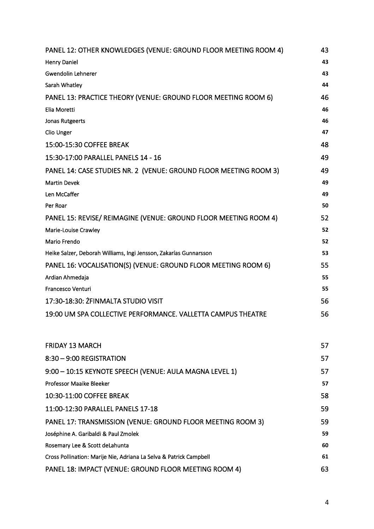| PANEL 12: OTHER KNOWLEDGES (VENUE: GROUND FLOOR MEETING ROOM 4)   | 43 |
|-------------------------------------------------------------------|----|
| <b>Henry Daniel</b>                                               | 43 |
| <b>Gwendolin Lehnerer</b>                                         | 43 |
| Sarah Whatley                                                     | 44 |
| PANEL 13: PRACTICE THEORY (VENUE: GROUND FLOOR MEETING ROOM 6)    | 46 |
| Elia Moretti                                                      | 46 |
| Jonas Rutgeerts                                                   | 46 |
| Clio Unger                                                        | 47 |
| 15:00-15:30 COFFEE BREAK                                          | 48 |
| 15:30-17:00 PARALLEL PANELS 14 - 16                               | 49 |
| PANEL 14: CASE STUDIES NR. 2 (VENUE: GROUND FLOOR MEETING ROOM 3) | 49 |
| <b>Martin Devek</b>                                               | 49 |
| Len McCaffer                                                      | 49 |
| Per Roar                                                          | 50 |
| PANEL 15: REVISE/ REIMAGINE (VENUE: GROUND FLOOR MEETING ROOM 4)  | 52 |
| Marie-Louise Crawley                                              | 52 |
| Mario Frendo                                                      | 52 |
| Heike Salzer, Deborah Williams, Ingi Jensson, Zakarías Gunnarsson | 53 |
| PANEL 16: VOCALISATION(S) (VENUE: GROUND FLOOR MEETING ROOM 6)    | 55 |
| Ardian Ahmedaja                                                   | 55 |
| Francesco Venturi                                                 | 55 |
| 17:30-18:30: ŻFINMALTA STUDIO VISIT                               | 56 |
| 19:00 UM SPA COLLECTIVE PERFORMANCE. VALLETTA CAMPUS THEATRE      | 56 |

| <b>FRIDAY 13 MARCH</b>                                             | 57 |
|--------------------------------------------------------------------|----|
| $8:30 - 9:00$ REGISTRATION                                         | 57 |
| 9:00 - 10:15 KEYNOTE SPEECH (VENUE: AULA MAGNA LEVEL 1)            | 57 |
| Professor Maaike Bleeker                                           | 57 |
| 10:30-11:00 COFFEE BREAK                                           | 58 |
| 11:00-12:30 PARALLEL PANELS 17-18                                  | 59 |
| PANEL 17: TRANSMISSION (VENUE: GROUND FLOOR MEETING ROOM 3)        | 59 |
| Joséphine A. Garibaldi & Paul Zmolek                               | 59 |
| Rosemary Lee & Scott deLahunta                                     | 60 |
| Cross Pollination: Marije Nie, Adriana La Selva & Patrick Campbell | 61 |
| PANEL 18: IMPACT (VENUE: GROUND FLOOR MEETING ROOM 4)              | 63 |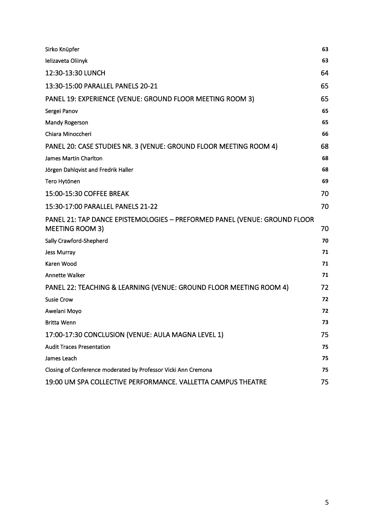| Sirko Knüpfer                                                                                       | 63 |
|-----------------------------------------------------------------------------------------------------|----|
| Ielizaveta Oliinyk                                                                                  | 63 |
| 12:30-13:30 LUNCH                                                                                   | 64 |
| 13:30-15:00 PARALLEL PANELS 20-21                                                                   | 65 |
| PANEL 19: EXPERIENCE (VENUE: GROUND FLOOR MEETING ROOM 3)                                           | 65 |
| Sergei Panov                                                                                        | 65 |
| <b>Mandy Rogerson</b>                                                                               | 65 |
| Chiara Minoccheri                                                                                   | 66 |
| PANEL 20: CASE STUDIES NR. 3 (VENUE: GROUND FLOOR MEETING ROOM 4)                                   | 68 |
| James Martin Charlton                                                                               | 68 |
| Jörgen Dahlqvist and Fredrik Haller                                                                 | 68 |
| Tero Hytönen                                                                                        | 69 |
| 15:00-15:30 COFFEE BREAK                                                                            | 70 |
| 15:30-17:00 PARALLEL PANELS 21-22                                                                   | 70 |
| PANEL 21: TAP DANCE EPISTEMOLOGIES - PREFORMED PANEL (VENUE: GROUND FLOOR<br><b>MEETING ROOM 3)</b> | 70 |
| Sally Crawford-Shepherd                                                                             | 70 |
| Jess Murray                                                                                         | 71 |
| Karen Wood                                                                                          | 71 |
| <b>Annette Walker</b>                                                                               | 71 |
| PANEL 22: TEACHING & LEARNING (VENUE: GROUND FLOOR MEETING ROOM 4)                                  | 72 |
| <b>Susie Crow</b>                                                                                   | 72 |
| Awelani Moyo                                                                                        | 72 |
| <b>Britta Wenn</b>                                                                                  | 73 |
| 17:00-17:30 CONCLUSION (VENUE: AULA MAGNA LEVEL 1)                                                  | 75 |
| <b>Audit Traces Presentation</b>                                                                    | 75 |
| James Leach                                                                                         | 75 |
| Closing of Conference moderated by Professor Vicki Ann Cremona                                      | 75 |
| 19:00 UM SPA COLLECTIVE PERFORMANCE. VALLETTA CAMPUS THEATRE                                        | 75 |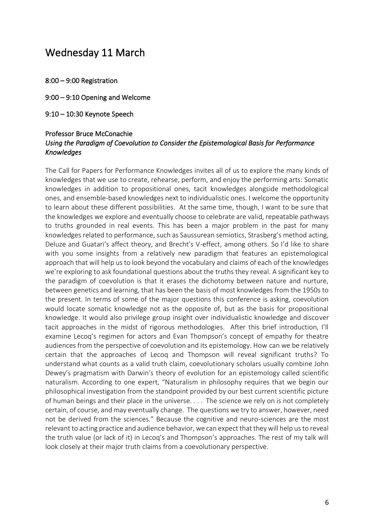### <span id="page-5-0"></span>Wednesday 11 March

- <span id="page-5-2"></span><span id="page-5-1"></span>8:00 – 9:00 Registration
- <span id="page-5-3"></span>9:00 – 9:10 Opening and Welcome
- 9:10 10:30 Keynote Speech

#### <span id="page-5-4"></span>Professor Bruce McConachie *Using the Paradigm of Coevolution to Consider the Epistemological Basis for Performance Knowledges*

The Call for Papers for Performance Knowledges invites all of us to explore the many kinds of knowledges that we use to create, rehearse, perform, and enjoy the performing arts: Somatic knowledges in addition to propositional ones, tacit knowledges alongside methodological ones, and ensemble-based knowledges next to individualistic ones. I welcome the opportunity to learn about these different possibilities. At the same time, though, I want to be sure that the knowledges we explore and eventually choose to celebrate are valid, repeatable pathways to truths grounded in real events. This has been a major problem in the past for many knowledges related to performance, such as Saussurean semiotics, Strasberg's method acting, Deluze and Guatari's affect theory, and Brecht's V-effect, among others. So I'd like to share with you some insights from a relatively new paradigm that features an epistemological approach that will help us to look beyond the vocabulary and claims of each of the knowledges we're exploring to ask foundational questions about the truths they reveal. A significant key to the paradigm of coevolution is that it erases the dichotomy between nature and nurture, between genetics and learning, that has been the basis of most knowledges from the 1950s to the present. In terms of some of the major questions this conference is asking, coevolution would locate somatic knowledge not as the opposite of, but as the basis for propositional knowledge. It would also privilege group insight over individualistic knowledge and discover tacit approaches in the midst of rigorous methodologies. After this brief introduction, I'll examine Lecoq's regimen for actors and Evan Thompson's concept of empathy for theatre audiences from the perspective of coevolution and its epistemology. How can we be relatively certain that the approaches of Lecoq and Thompson will reveal significant truths? To understand what counts as a valid truth claim, coevolutionary scholars usually combine John Dewey's pragmatism with Darwin's theory of evolution for an epistemology called scientific naturalism. According to one expert, "Naturalism in philosophy requires that we begin our philosophical investigation from the standpoint provided by our best current scientific picture of human beings and their place in the universe. . . . The science we rely on is not completely certain, of course, and may eventually change. The questions we try to answer, however, need not be derived from the sciences." Because the cognitive and neuro-sciences are the most relevant to acting practice and audience behavior, we can expect that they will help us to reveal the truth value (or lack of it) in Lecoq's and Thompson's approaches. The rest of my talk will look closely at their major truth claims from a coevolutionary perspective.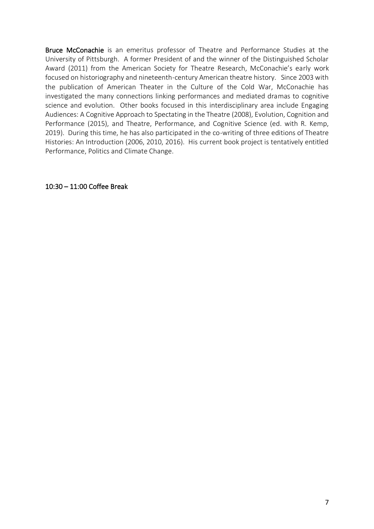Bruce McConachie is an emeritus professor of Theatre and Performance Studies at the University of Pittsburgh. A former President of and the winner of the Distinguished Scholar Award (2011) from the American Society for Theatre Research, McConachie's early work focused on historiography and nineteenth-century American theatre history. Since 2003 with the publication of American Theater in the Culture of the Cold War, McConachie has investigated the many connections linking performances and mediated dramas to cognitive science and evolution. Other books focused in this interdisciplinary area include Engaging Audiences: A Cognitive Approach to Spectating in the Theatre (2008), Evolution, Cognition and Performance (2015), and Theatre, Performance, and Cognitive Science (ed. with R. Kemp, 2019). During this time, he has also participated in the co-writing of three editions of Theatre Histories: An Introduction (2006, 2010, 2016). His current book project is tentatively entitled Performance, Politics and Climate Change.

<span id="page-6-0"></span>10:30 – 11:00 Coffee Break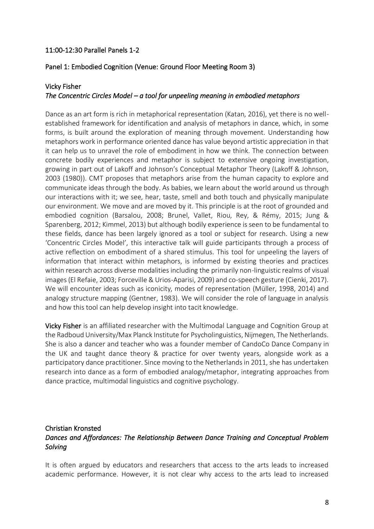#### <span id="page-7-0"></span>11:00-12:30 Parallel Panels 1-2

#### <span id="page-7-1"></span>Panel 1: Embodied Cognition (Venue: Ground Floor Meeting Room 3)

#### <span id="page-7-2"></span>Vicky Fisher

#### *The Concentric Circles Model – a tool for unpeeling meaning in embodied metaphors*

Dance as an art form is rich in metaphorical representation (Katan, 2016), yet there is no wellestablished framework for identification and analysis of metaphors in dance, which, in some forms, is built around the exploration of meaning through movement. Understanding how metaphors work in performance oriented dance has value beyond artistic appreciation in that it can help us to unravel the role of embodiment in how we think. The connection between concrete bodily experiences and metaphor is subject to extensive ongoing investigation, growing in part out of Lakoff and Johnson's Conceptual Metaphor Theory (Lakoff & Johnson, 2003 (1980)). CMT proposes that metaphors arise from the human capacity to explore and communicate ideas through the body. As babies, we learn about the world around us through our interactions with it; we see, hear, taste, smell and both touch and physically manipulate our environment. We move and are moved by it. This principle is at the root of grounded and embodied cognition (Barsalou, 2008; Brunel, Vallet, Riou, Rey, & Rémy, 2015; Jung & Sparenberg, 2012; Kimmel, 2013) but although bodily experience is seen to be fundamental to these fields, dance has been largely ignored as a tool or subject for research. Using a new 'Concentric Circles Model', this interactive talk will guide participants through a process of active reflection on embodiment of a shared stimulus. This tool for unpeeling the layers of information that interact within metaphors, is informed by existing theories and practices within research across diverse modalities including the primarily non-linguistic realms of visual images (El Refaie, 2003; Forceville & Urios-Aparisi, 2009) and co-speech gesture (Cienki, 2017). We will encounter ideas such as iconicity, modes of representation (Müller, 1998, 2014) and analogy structure mapping (Gentner, 1983). We will consider the role of language in analysis and how this tool can help develop insight into tacit knowledge.

Vicky Fisher is an affiliated researcher with the Multimodal Language and Cognition Group at the Radboud University/Max Planck Institute for Psycholinguistics, Nijmegen, The Netherlands. She is also a dancer and teacher who was a founder member of CandoCo Dance Company in the UK and taught dance theory & practice for over twenty years, alongside work as a participatory dance practitioner. Since moving to the Netherlands in 2011, she has undertaken research into dance as a form of embodied analogy/metaphor, integrating approaches from dance practice, multimodal linguistics and cognitive psychology.

#### <span id="page-7-3"></span>Christian Kronsted *Dances and Affordances: The Relationship Between Dance Training and Conceptual Problem Solving*

It is often argued by educators and researchers that access to the arts leads to increased academic performance. However, it is not clear why access to the arts lead to increased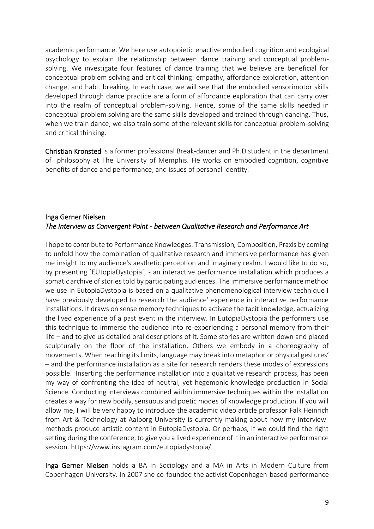academic performance. We here use autopoietic enactive embodied cognition and ecological psychology to explain the relationship between dance training and conceptual problemsolving. We investigate four features of dance training that we believe are beneficial for conceptual problem solving and critical thinking: empathy, affordance exploration, attention change, and habit breaking. In each case, we will see that the embodied sensorimotor skills developed through dance practice are a form of affordance exploration that can carry over into the realm of conceptual problem-solving. Hence, some of the same skills needed in conceptual problem solving are the same skills developed and trained through dancing. Thus, when we train dance, we also train some of the relevant skills for conceptual problem-solving and critical thinking.

Christian Kronsted is a former professional Break-dancer and Ph.D student in the department of philosophy at The University of Memphis. He works on embodied cognition, cognitive benefits of dance and performance, and issues of personal identity.

#### <span id="page-8-0"></span>Inga Gerner Nielsen *The Interview as Convergent Point - between Qualitative Research and Performance Art*

I hope to contribute to Performance Knowledges: Transmission, Composition, Praxis by coming to unfold how the combination of qualitative research and immersive performance has given me insight to my audience's aesthetic perception and imaginary realm. I would like to do so, by presenting `EUtopiaDystopia´, - an interactive performance installation which produces a somatic archive of stories told by participating audiences. The immersive performance method we use in EutopiaDystopia is based on a qualitative phenomenological interview technique I have previously developed to research the audience' experience in interactive performance installations. It draws on sense memory techniques to activate the tacit knowledge, actualizing the lived experience of a past event in the interview. In EutopiaDystopia the performers use this technique to immerse the audience into re-experiencing a personal memory from their life – and to give us detailed oral descriptions of it. Some stories are written down and placed sculpturally on the floor of the installation. Others we embody in a choreography of movements. When reaching its limits, language may break into metaphor or physical gestures' – and the performance installation as a site for research renders these modes of expressions possible. Inserting the performance installation into a qualitative research process, has been my way of confronting the idea of neutral, yet hegemonic knowledge production in Social Science. Conducting interviews combined within immersive techniques within the installation creates a way for new bodily, sensuous and poetic modes of knowledge production. If you will allow me, I will be very happy to introduce the academic video article professor Falk Heinrich from Art & Technology at Aalborg University is currently making about how my interviewmethods produce artistic content in EutopiaDystopia. Or perhaps, if we could find the right setting during the conference, to give you a lived experience of it in an interactive performance session. https://www.instagram.com/eutopiadystopia/

Inga Gerner Nielsen holds a BA in Sociology and a MA in Arts in Modern Culture from Copenhagen University. In 2007 she co-founded the activist Copenhagen-based performance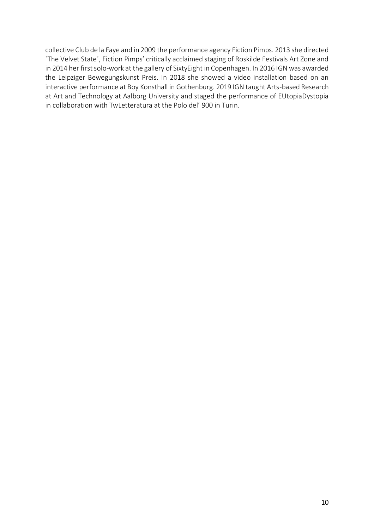collective Club de la Faye and in 2009 the performance agency Fiction Pimps. 2013 she directed `The Velvet State´, Fiction Pimps' critically acclaimed staging of Roskilde Festivals Art Zone and in 2014 her first solo-work at the gallery of SixtyEight in Copenhagen. In 2016 IGN was awarded the Leipziger Bewegungskunst Preis. In 2018 she showed a video installation based on an interactive performance at Boy Konsthall in Gothenburg. 2019 IGN taught Arts-based Research at Art and Technology at Aalborg University and staged the performance of EUtopiaDystopia in collaboration with TwLetteratura at the Polo del' 900 in Turin.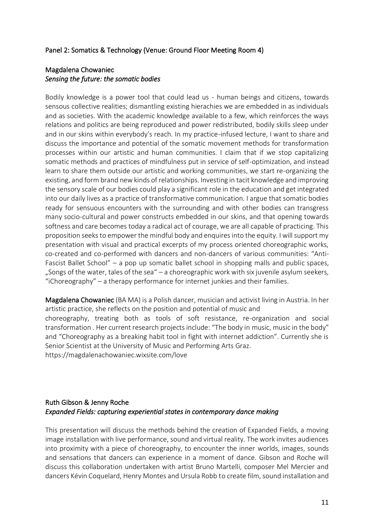#### <span id="page-10-0"></span>Panel 2: Somatics & Technology (Venue: Ground Floor Meeting Room 4)

#### <span id="page-10-1"></span>Magdalena Chowaniec *Sensing the future: the somatic bodies*

Bodily knowledge is a power tool that could lead us - human beings and citizens, towards sensous collective realities; dismantling existing hierachies we are embedded in as individuals and as societies. With the academic knowledge available to a few, which reinforces the ways relations and politics are being reproduced and power redistributed, bodily skills sleep under and in our skins within everybody's reach. In my practice-infused lecture, I want to share and discuss the importance and potential of the somatic movement methods for transformation processes within our artistic and human communities. I claim that if we stop capitalizing somatic methods and practices of mindfulness put in service of self-optimization, and instead learn to share them outside our artistic and working communities, we start re-organizing the existing, and form brand new kinds of relationships. Investing in tacit knowledge and improving the sensory scale of our bodies could play a significant role in the education and get integrated into our daily lives as a practice of transformative communication. I argue that somatic bodies ready for sensuous encounters with the surrounding and with other bodies can transgress many socio-cultural and power constructs embedded in our skins, and that opening towards softness and care becomes today a radical act of courage, we are all capable of practicing. This proposition seeks to empower the mindful body and enquires into the equity. I will support my presentation with visual and practical excerpts of my process oriented choreographic works, co-created and co-performed with dancers and non-dancers of various communities: "Anti-Fascist Ballet School" – a pop up somatic ballet school in shopping malls and public spaces, . Songs of the water, tales of the sea " $-$  a choreographic work with six juvenile asylum seekers, "iChoreography" – a therapy performance for internet junkies and their families.

Magdalena Chowaniec (BA MA) is a Polish dancer, musician and activist living in Austria. In her artistic practice, she reflects on the position and potential of music and choreography, treating both as tools of soft resistance, re-organization and social transformation . Her current research projects include: "The body in music, music in the body" and "Choreography as a breaking habit tool in fight with internet addiction". Currently she is Senior Scientist at the University of Music and Performing Arts Graz. https://magdalenachowaniec.wixsite.com/love

#### <span id="page-10-2"></span>Ruth Gibson & Jenny Roche *Expanded Fields: capturing experiential states in contemporary dance making*

This presentation will discuss the methods behind the creation of Expanded Fields, a moving image installation with live performance, sound and virtual reality. The work invites audiences into proximity with a piece of choreography, to encounter the inner worlds, images, sounds and sensations that dancers can experience in a moment of dance. Gibson and Roche will discuss this collaboration undertaken with artist Bruno Martelli, composer Mel Mercier and dancers Kévin Coquelard, Henry Montes and Ursula Robb to create film, sound installation and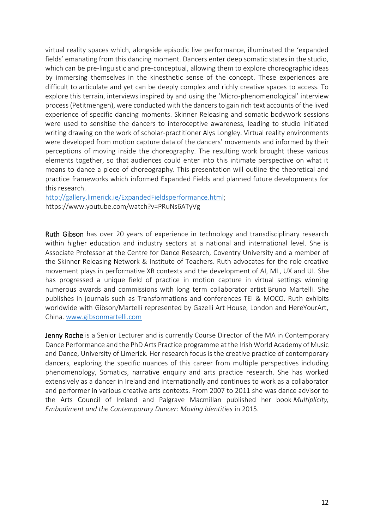virtual reality spaces which, alongside episodic live performance, illuminated the 'expanded fields' emanating from this dancing moment. Dancers enter deep somatic states in the studio, which can be pre-linguistic and pre-conceptual, allowing them to explore choreographic ideas by immersing themselves in the kinesthetic sense of the concept. These experiences are difficult to articulate and yet can be deeply complex and richly creative spaces to access. To explore this terrain, interviews inspired by and using the 'Micro-phenomenological' interview process (Petitmengen), were conducted with the dancers to gain rich text accounts of the lived experience of specific dancing moments. Skinner Releasing and somatic bodywork sessions were used to sensitise the dancers to interoceptive awareness, leading to studio initiated writing drawing on the work of scholar-practitioner Alys Longley. Virtual reality environments were developed from motion capture data of the dancers' movements and informed by their perceptions of moving inside the choreography. The resulting work brought these various elements together, so that audiences could enter into this intimate perspective on what it means to dance a piece of choreography. This presentation will outline the theoretical and practice frameworks which informed Expanded Fields and planned future developments for this research.

[http://gallery.limerick.ie/ExpandedFieldsperformance.html;](http://gallery.limerick.ie/ExpandedFieldsperformance.html) https://www.youtube.com/watch?v=PRuNs6ATyVg

Ruth Gibson has over 20 years of experience in technology and transdisciplinary research within higher education and industry sectors at a national and international level. She is Associate Professor at the Centre for Dance Research, Coventry University and a member of the Skinner Releasing Network & Institute of Teachers. Ruth advocates for the role creative movement plays in performative XR contexts and the development of AI, ML, UX and UI. She has progressed a unique field of practice in motion capture in virtual settings winning numerous awards and commissions with long term collaborator artist Bruno Martelli. She publishes in journals such as Transformations and conferences TEI & MOCO. Ruth exhibits worldwide with Gibson/Martelli represented by Gazelli Art House, London and HereYourArt, China. [www.gibsonmartelli.com](http://www.gibsonmartelli.com/)

Jenny Roche is a Senior Lecturer and is currently Course Director of the MA in Contemporary Dance Performance and the PhD Arts Practice programme at the Irish World Academy of Music and Dance, University of Limerick. Her research focus is the creative practice of contemporary dancers, exploring the specific nuances of this career from multiple perspectives including phenomenology, Somatics, narrative enquiry and arts practice research. She has worked extensively as a dancer in Ireland and internationally and continues to work as a collaborator and performer in various creative arts contexts. From 2007 to 2011 she was dance advisor to the Arts Council of Ireland and Palgrave Macmillan published her book *Multiplicity, Embodiment and the Contemporary Dancer: Moving Identities* in 2015.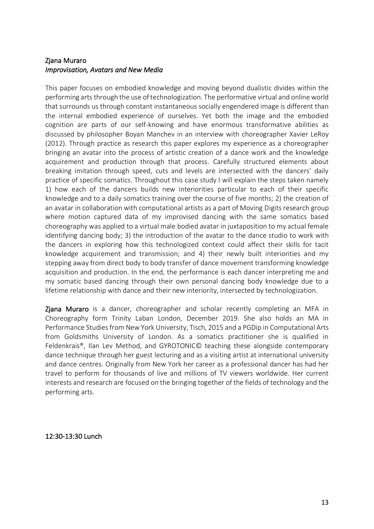#### <span id="page-12-0"></span>Zjana Muraro *Improvisation, Avatars and New Media*

This paper focuses on embodied knowledge and moving beyond dualistic divides within the performing arts through the use of technologization. The performative virtual and online world that surrounds us through constant instantaneous socially engendered image is different than the internal embodied experience of ourselves. Yet both the image and the embodied cognition are parts of our self-knowing and have enormous transformative abilities as discussed by philosopher Boyan Manchev in an interview with choreographer Xavier LeRoy (2012). Through practice as research this paper explores my experience as a choreographer bringing an avatar into the process of artistic creation of a dance work and the knowledge acquirement and production through that process. Carefully structured elements about breaking imitation through speed, cuts and levels are intersected with the dancers' daily practice of specific somatics. Throughout this case study I will explain the steps taken namely 1) how each of the dancers builds new interiorities particular to each of their specific knowledge and to a daily somatics training over the course of five months; 2) the creation of an avatar in collaboration with computational artists as a part of Moving Digits research group where motion captured data of my improvised dancing with the same somatics based choreography was applied to a virtual male bodied avatar in juxtaposition to my actual female identifying dancing body; 3) the introduction of the avatar to the dance studio to work with the dancers in exploring how this technologized context could affect their skills for tacit knowledge acquirement and transmission; and 4) their newly built interiorities and my stepping away from direct body to body transfer of dance movement transforming knowledge acquisition and production. In the end, the performance is each dancer interpreting me and my somatic based dancing through their own personal dancing body knowledge due to a lifetime relationship with dance and their new interiority, intersected by technologization.

Zjana Muraro is a dancer, choreographer and scholar recently completing an MFA in Choreography form Trinity Laban London, December 2019. She also holds an MA in Performance Studies from New York University, Tisch, 2015 and a PGDip in Computational Arts from Goldsmiths University of London. As a somatics practitioner she is qualified in Feldenkrais®, Ilan Lev Method, and GYROTONIC© teaching these alongside contemporary dance technique through her guest lecturing and as a visiting artist at international university and dance centres. Originally from New York her career as a professional dancer has had her travel to perform for thousands of live and millions of TV viewers worldwide. Her current interests and research are focused on the bringing together of the fields of technology and the performing arts.

<span id="page-12-1"></span>12:30-13:30 Lunch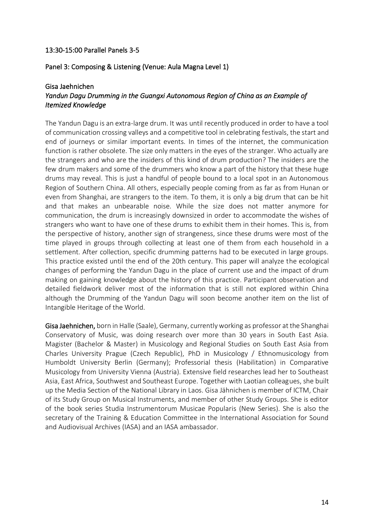#### <span id="page-13-1"></span><span id="page-13-0"></span>13:30-15:00 Parallel Panels 3-5

#### Panel 3: Composing & Listening (Venue: Aula Magna Level 1)

#### <span id="page-13-2"></span>Gisa Jaehnichen *Yandun Dagu Drumming in the Guangxi Autonomous Region of China as an Example of Itemized Knowledge*

The Yandun Dagu is an extra-large drum. It was until recently produced in order to have a tool of communication crossing valleys and a competitive tool in celebrating festivals, the start and end of journeys or similar important events. In times of the internet, the communication function is rather obsolete. The size only matters in the eyes of the stranger. Who actually are the strangers and who are the insiders of this kind of drum production? The insiders are the few drum makers and some of the drummers who know a part of the history that these huge drums may reveal. This is just a handful of people bound to a local spot in an Autonomous Region of Southern China. All others, especially people coming from as far as from Hunan or even from Shanghai, are strangers to the item. To them, it is only a big drum that can be hit and that makes an unbearable noise. While the size does not matter anymore for communication, the drum is increasingly downsized in order to accommodate the wishes of strangers who want to have one of these drums to exhibit them in their homes. This is, from the perspective of history, another sign of strangeness, since these drums were most of the time played in groups through collecting at least one of them from each household in a settlement. After collection, specific drumming patterns had to be executed in large groups. This practice existed until the end of the 20th century. This paper will analyze the ecological changes of performing the Yandun Dagu in the place of current use and the impact of drum making on gaining knowledge about the history of this practice. Participant observation and detailed fieldwork deliver most of the information that is still not explored within China although the Drumming of the Yandun Dagu will soon become another item on the list of Intangible Heritage of the World.

Gisa Jaehnichen, born in Halle (Saale), Germany, currently working as professor at the Shanghai Conservatory of Music, was doing research over more than 30 years in South East Asia. Magister (Bachelor & Master) in Musicology and Regional Studies on South East Asia from Charles University Prague (Czech Republic), PhD in Musicology / Ethnomusicology from Humboldt University Berlin (Germany); Professorial thesis (Habilitation) in Comparative Musicology from University Vienna (Austria). Extensive field researches lead her to Southeast Asia, East Africa, Southwest and Southeast Europe. Together with Laotian colleagues, she built up the Media Section of the National Library in Laos. Gisa Jähnichen is member of ICTM, Chair of its Study Group on Musical Instruments, and member of other Study Groups. She is editor of the book series Studia Instrumentorum Musicae Popularis (New Series). She is also the secretary of the Training & Education Committee in the International Association for Sound and Audiovisual Archives (IASA) and an IASA ambassador.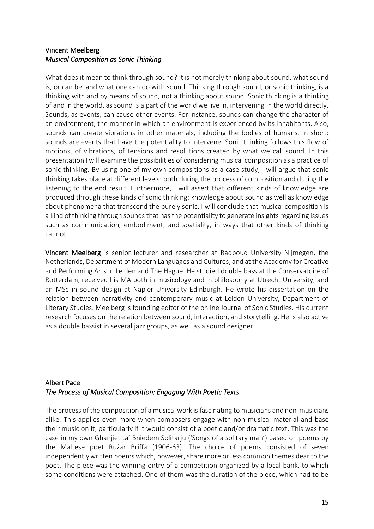#### <span id="page-14-0"></span>Vincent Meelberg *Musical Composition as Sonic Thinking*

What does it mean to think through sound? It is not merely thinking about sound, what sound is, or can be, and what one can do with sound. Thinking through sound, or sonic thinking, is a thinking with and by means of sound, not a thinking about sound. Sonic thinking is a thinking of and in the world, as sound is a part of the world we live in, intervening in the world directly. Sounds, as events, can cause other events. For instance, sounds can change the character of an environment, the manner in which an environment is experienced by its inhabitants. Also, sounds can create vibrations in other materials, including the bodies of humans. In short: sounds are events that have the potentiality to intervene. Sonic thinking follows this flow of motions, of vibrations, of tensions and resolutions created by what we call sound. In this presentation I will examine the possibilities of considering musical composition as a practice of sonic thinking. By using one of my own compositions as a case study, I will argue that sonic thinking takes place at different levels: both during the process of composition and during the listening to the end result. Furthermore, I will assert that different kinds of knowledge are produced through these kinds of sonic thinking: knowledge about sound as well as knowledge about phenomena that transcend the purely sonic. I will conclude that musical composition is a kind of thinking through sounds that has the potentiality to generate insights regarding issues such as communication, embodiment, and spatiality, in ways that other kinds of thinking cannot.

Vincent Meelberg is senior lecturer and researcher at Radboud University Nijmegen, the Netherlands, Department of Modern Languages and Cultures, and at the Academy for Creative and Performing Arts in Leiden and The Hague. He studied double bass at the Conservatoire of Rotterdam, received his MA both in musicology and in philosophy at Utrecht University, and an MSc in sound design at Napier University Edinburgh. He wrote his dissertation on the relation between narrativity and contemporary music at Leiden University, Department of Literary Studies. Meelberg is founding editor of the online Journal of Sonic Studies. His current research focuses on the relation between sound, interaction, and storytelling. He is also active as a double bassist in several jazz groups, as well as a sound designer.

#### <span id="page-14-1"></span>Albert Pace *The Process of Musical Composition: Engaging With Poetic Texts*

The process of the composition of a musical work is fascinating to musicians and non-musicians alike. This applies even more when composers engage with non-musical material and base their music on it, particularly if it would consist of a poetic and/or dramatic text. This was the case in my own Għanjiet ta' Bniedem Solitarju ('Songs of a solitary man') based on poems by the Maltese poet Rużar Briffa (1906-63). The choice of poems consisted of seven independently written poems which, however, share more or less common themes dear to the poet. The piece was the winning entry of a competition organized by a local bank, to which some conditions were attached. One of them was the duration of the piece, which had to be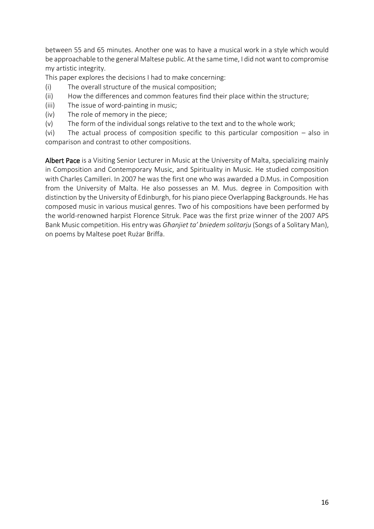between 55 and 65 minutes. Another one was to have a musical work in a style which would be approachable to the general Maltese public. At the same time, I did not want to compromise my artistic integrity.

This paper explores the decisions I had to make concerning:

- (i) The overall structure of the musical composition;
- (ii) How the differences and common features find their place within the structure;
- (iii) The issue of word-painting in music;
- (iv) The role of memory in the piece;
- (v) The form of the individual songs relative to the text and to the whole work;

(vi) The actual process of composition specific to this particular composition – also in comparison and contrast to other compositions.

Albert Pace is a Visiting Senior Lecturer in Music at the University of Malta, specializing mainly in Composition and Contemporary Music, and Spirituality in Music. He studied composition with Charles Camilleri. In 2007 he was the first one who was awarded a D.Mus. in Composition from the University of Malta. He also possesses an M. Mus. degree in Composition with distinction by the University of Edinburgh, for his piano piece Overlapping Backgrounds. He has composed music in various musical genres. Two of his compositions have been performed by the world-renowned harpist Florence Sitruk. Pace was the first prize winner of the 2007 APS Bank Music competition. His entry was *Għanjiet ta' bniedem solitarju* (Songs of a Solitary Man), on poems by Maltese poet Rużar Briffa.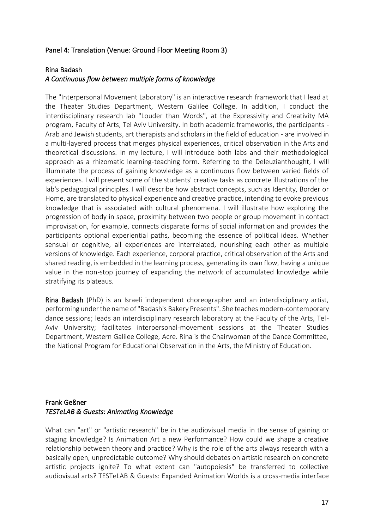#### <span id="page-16-0"></span>Panel 4: Translation (Venue: Ground Floor Meeting Room 3)

#### <span id="page-16-1"></span>Rina Badash

#### *A Continuous flow between multiple forms of knowledge*

The "Interpersonal Movement Laboratory" is an interactive research framework that I lead at the Theater Studies Department, Western Galilee College. In addition, I conduct the interdisciplinary research lab "Louder than Words", at the Expressivity and Creativity MA program, Faculty of Arts, Tel Aviv University. In both academic frameworks, the participants - Arab and Jewish students, art therapists and scholars in the field of education - are involved in a multi-layered process that merges physical experiences, critical observation in the Arts and theoretical discussions. In my lecture, I will introduce both labs and their methodological approach as a rhizomatic learning-teaching form. Referring to the Deleuzianthought, I will illuminate the process of gaining knowledge as a continuous flow between varied fields of experiences. I will present some of the students' creative tasks as concrete illustrations of the lab's pedagogical principles. I will describe how abstract concepts, such as Identity, Border or Home, are translated to physical experience and creative practice, intending to evoke previous knowledge that is associated with cultural phenomena. I will illustrate how exploring the progression of body in space, proximity between two people or group movement in contact improvisation, for example, connects disparate forms of social information and provides the participants optional experiential paths, becoming the essence of political ideas. Whether sensual or cognitive, all experiences are interrelated, nourishing each other as multiple versions of knowledge. Each experience, corporal practice, critical observation of the Arts and shared reading, is embedded in the learning process, generating its own flow, having a unique value in the non-stop journey of expanding the network of accumulated knowledge while stratifying its plateaus.

Rina Badash (PhD) is an Israeli independent choreographer and an interdisciplinary artist, performing under the name of "Badash's Bakery Presents". She teaches modern-contemporary dance sessions; leads an interdisciplinary research laboratory at the Faculty of the Arts, Tel-Aviv University; facilitates interpersonal-movement sessions at the Theater Studies Department, Western Galilee College, Acre. Rina is the Chairwoman of the Dance Committee, the National Program for Educational Observation in the Arts, the Ministry of Education.

#### <span id="page-16-2"></span>Frank Geßner *TESTeLAB & Guests: Animating Knowledge*

What can "art" or "artistic research" be in the audiovisual media in the sense of gaining or staging knowledge? Is Animation Art a new Performance? How could we shape a creative relationship between theory and practice? Why is the role of the arts always research with a basically open, unpredictable outcome? Why should debates on artistic research on concrete artistic projects ignite? To what extent can "autopoiesis" be transferred to collective audiovisual arts? TESTeLAB & Guests: Expanded Animation Worlds is a cross-media interface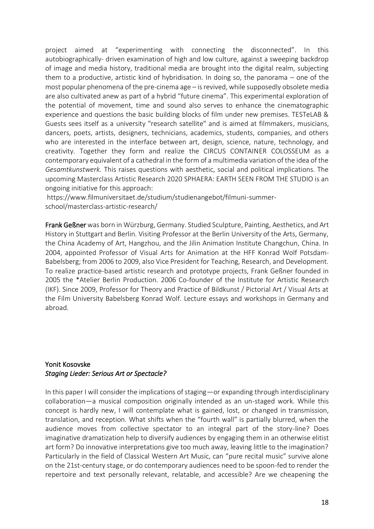project aimed at "experimenting with connecting the disconnected". In this autobiographically- driven examination of high and low culture, against a sweeping backdrop of image and media history, traditional media are brought into the digital realm, subjecting them to a productive, artistic kind of hybridisation. In doing so, the panorama – one of the most popular phenomena of the pre-cinema age – is revived, while supposedly obsolete media are also cultivated anew as part of a hybrid "future cinema". This experimental exploration of the potential of movement, time and sound also serves to enhance the cinematographic experience and questions the basic building blocks of film under new premises. TESTeLAB & Guests sees itself as a university "research satellite" and is aimed at filmmakers, musicians, dancers, poets, artists, designers, technicians, academics, students, companies, and others who are interested in the interface between art, design, science, nature, technology, and creativity. Together they form and realize the CIRCUS CONTAINER COLOSSEUM as a contemporary equivalent of a cathedral in the form of a multimedia variation of the idea of the *Gesamtkunstwerk.* This raises questions with aesthetic, social and political implications. The upcoming Masterclass Artistic Research 2020 SPHAERA: EARTH SEEN FROM THE STUDIO is an ongoing initiative for this approach:

https://www.filmuniversitaet.de/studium/studienangebot/filmuni-summerschool/masterclass-artistic-research/

Frank Geßner was born in Würzburg, Germany. Studied Sculpture, Painting, Aesthetics, and Art History in Stuttgart and Berlin. Visiting Professor at the Berlin University of the Arts, Germany, the China Academy of Art, Hangzhou, and the Jilin Animation Institute Changchun, China. In 2004, appointed Professor of Visual Arts for Animation at the HFF Konrad Wolf Potsdam-Babelsberg; from 2006 to 2009, also Vice President for Teaching, Research, and Development. To realize practice-based artistic research and prototype projects, Frank Geßner founded in 2005 the \*Atelier Berlin Production. 2006 Co-founder of the Institute for Artistic Research (IKF). Since 2009, Professor for Theory and Practice of Bildkunst / Pictorial Art / Visual Arts at the Film University Babelsberg Konrad Wolf. Lecture essays and workshops in Germany and abroad.

#### <span id="page-17-0"></span>Yonit Kosovske *Staging Lieder: Serious Art or Spectacle?*

In this paper I will consider the implications of staging—or expanding through interdisciplinary collaboration—a musical composition originally intended as an un-staged work. While this concept is hardly new, I will contemplate what is gained, lost, or changed in transmission, translation, and reception. What shifts when the "fourth wall" is partially blurred, when the audience moves from collective spectator to an integral part of the story-line? Does imaginative dramatization help to diversify audiences by engaging them in an otherwise elitist art form? Do innovative interpretations give too much away, leaving little to the imagination? Particularly in the field of Classical Western Art Music, can "pure recital music" survive alone on the 21st-century stage, or do contemporary audiences need to be spoon-fed to render the repertoire and text personally relevant, relatable, and accessible? Are we cheapening the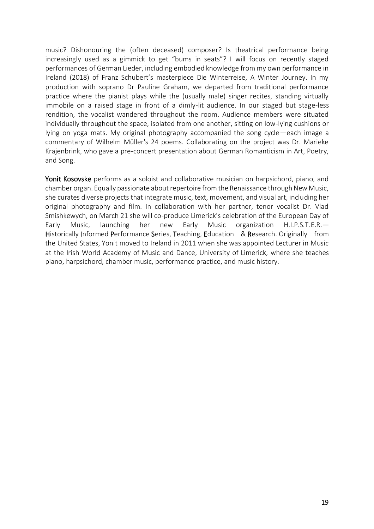music? Dishonouring the (often deceased) composer? Is theatrical performance being increasingly used as a gimmick to get "bums in seats"? I will focus on recently staged performances of German Lieder, including embodied knowledge from my own performance in Ireland (2018) of Franz Schubert's masterpiece Die Winterreise, A Winter Journey. In my production with soprano Dr Pauline Graham, we departed from traditional performance practice where the pianist plays while the (usually male) singer recites, standing virtually immobile on a raised stage in front of a dimly-lit audience. In our staged but stage-less rendition, the vocalist wandered throughout the room. Audience members were situated individually throughout the space, isolated from one another, sitting on low-lying cushions or lying on yoga mats. My original photography accompanied the song cycle—each image a commentary of Wilhelm Müller's 24 poems. Collaborating on the project was Dr. Marieke Krajenbrink, who gave a pre-concert presentation about German Romanticism in Art, Poetry, and Song.

Yonit Kosovske performs as a soloist and collaborative musician on harpsichord, piano, and chamber organ. Equally passionate about repertoire from the Renaissance through New Music, she curates diverse projects that integrate music, text, movement, and visual art, including her original photography and film. In collaboration with her partner, tenor vocalist Dr. Vlad Smishkewych, on March 21 she will co-produce Limerick's celebration of the European Day of Early Music, launching her new Early Music organization H.I.P.S.T.E.R.— Historically Informed Performance Series, Teaching, Education & Research. Originally from the United States, Yonit moved to Ireland in 2011 when she was appointed Lecturer in Music at the Irish World Academy of Music and Dance, University of Limerick, where she teaches piano, harpsichord, chamber music, performance practice, and music history.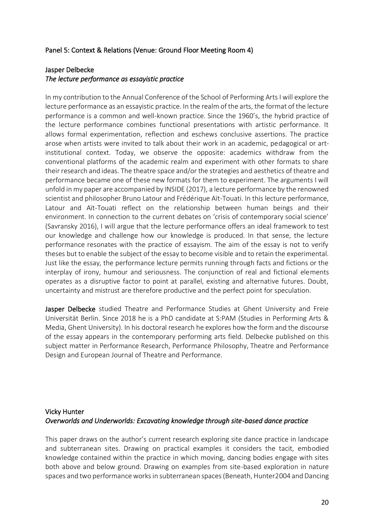#### <span id="page-19-0"></span>Panel 5: Context & Relations (Venue: Ground Floor Meeting Room 4)

#### <span id="page-19-1"></span>Jasper Delbecke *The lecture performance as essayistic practice*

In my contribution to the Annual Conference of the School of Performing Arts I will explore the lecture performance as an essayistic practice. In the realm of the arts, the format of the lecture performance is a common and well-known practice. Since the 1960's, the hybrid practice of the lecture performance combines functional presentations with artistic performance. It allows formal experimentation, reflection and eschews conclusive assertions. The practice arose when artists were invited to talk about their work in an academic, pedagogical or artinstitutional context. Today, we observe the opposite: academics withdraw from the conventional platforms of the academic realm and experiment with other formats to share their research and ideas. The theatre space and/or the strategies and aesthetics of theatre and performance became one of these new formats for them to experiment. The arguments I will unfold in my paper are accompanied by INSIDE (2017), a lecture performance by the renowned scientist and philosopher Bruno Latour and Frédérique Aït-Touati. In this lecture performance, Latour and Aït-Touati reflect on the relationship between human beings and their environment. In connection to the current debates on 'crisis of contemporary social science' (Savransky 2016), I will argue that the lecture performance offers an ideal framework to test our knowledge and challenge how our knowledge is produced. In that sense, the lecture performance resonates with the practice of essayism. The aim of the essay is not to verify theses but to enable the subject of the essay to become visible and to retain the experimental. Just like the essay, the performance lecture permits running through facts and fictions or the interplay of irony, humour and seriousness. The conjunction of real and fictional elements operates as a disruptive factor to point at parallel, existing and alternative futures. Doubt, uncertainty and mistrust are therefore productive and the perfect point for speculation.

Jasper Delbecke studied Theatre and Performance Studies at Ghent University and Freie Universität Berlin. Since 2018 he is a PhD candidate at S:PAM (Studies in Performing Arts & Media, Ghent University). In his doctoral research he explores how the form and the discourse of the essay appears in the contemporary performing arts field. Delbecke published on this subject matter in Performance Research, Performance Philosophy, Theatre and Performance Design and European Journal of Theatre and Performance.

#### <span id="page-19-2"></span>Vicky Hunter *Overworlds and Underworlds: Excavating knowledge through site-based dance practice*

This paper draws on the author's current research exploring site dance practice in landscape and subterranean sites. Drawing on practical examples it considers the tacit, embodied knowledge contained within the practice in which moving, dancing bodies engage with sites both above and below ground. Drawing on examples from site-based exploration in nature spaces and two performance works in subterranean spaces (Beneath, Hunter2004 and Dancing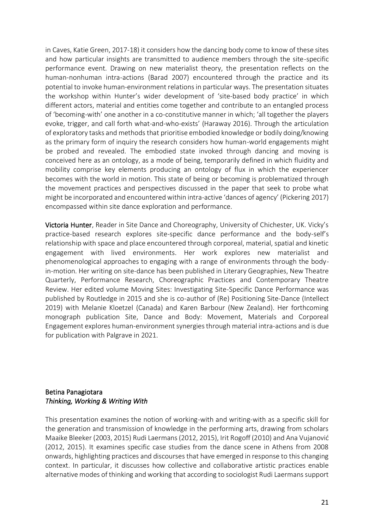in Caves, Katie Green, 2017-18) it considers how the dancing body come to know of these sites and how particular insights are transmitted to audience members through the site-specific performance event. Drawing on new materialist theory, the presentation reflects on the human-nonhuman intra-actions (Barad 2007) encountered through the practice and its potential to invoke human-environment relations in particular ways. The presentation situates the workshop within Hunter's wider development of 'site-based body practice' in which different actors, material and entities come together and contribute to an entangled process of 'becoming-with' one another in a co-constitutive manner in which; 'all together the players evoke, trigger, and call forth what-and-who-exists' (Haraway 2016). Through the articulation of exploratory tasks and methods that prioritise embodied knowledge or bodily doing/knowing as the primary form of inquiry the research considers how human-world engagements might be probed and revealed. The embodied state invoked through dancing and moving is conceived here as an ontology, as a mode of being, temporarily defined in which fluidity and mobility comprise key elements producing an ontology of flux in which the experiencer becomes with the world in motion. This state of being or becoming is problematized through the movement practices and perspectives discussed in the paper that seek to probe what might be incorporated and encountered within intra-active 'dances of agency' (Pickering 2017) encompassed within site dance exploration and performance.

Victoria Hunter, Reader in Site Dance and Choreography, University of Chichester, UK. Vicky's practice-based research explores site-specific dance performance and the body-self's relationship with space and place encountered through corporeal, material, spatial and kinetic engagement with lived environments. Her work explores new materialist and phenomenological approaches to engaging with a range of environments through the bodyin-motion. Her writing on site-dance has been published in Literary Geographies, New Theatre Quarterly, Performance Research, Choreographic Practices and Contemporary Theatre Review. Her edited volume Moving Sites: Investigating Site-Specific Dance Performance was published by Routledge in 2015 and she is co-author of (Re) Positioning Site-Dance (Intellect 2019) with Melanie Kloetzel (Canada) and Karen Barbour (New Zealand). Her forthcoming monograph publication Site, Dance and Body: Movement, Materials and Corporeal Engagement explores human-environment synergies through material intra-actions and is due for publication with Palgrave in 2021.

#### <span id="page-20-0"></span>Betina Panagiotara *Thinking, Working & Writing With*

This presentation examines the notion of working-with and writing-with as a specific skill for the generation and transmission of knowledge in the performing arts, drawing from scholars Maaike Bleeker (2003, 2015) Rudi Laermans (2012, 2015), Irit Rogoff (2010) and Ana Vujanović (2012, 2015). It examines specific case studies from the dance scene in Athens from 2008 onwards, highlighting practices and discourses that have emerged in response to this changing context. In particular, it discusses how collective and collaborative artistic practices enable alternative modes of thinking and working that according to sociologist Rudi Laermans support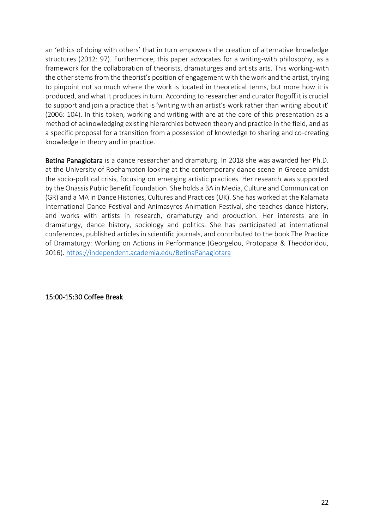an 'ethics of doing with others' that in turn empowers the creation of alternative knowledge structures (2012: 97). Furthermore, this paper advocates for a writing-with philosophy, as a framework for the collaboration of theorists, dramaturges and artists arts. This working-with the other stems from the theorist's position of engagement with the work and the artist, trying to pinpoint not so much where the work is located in theoretical terms, but more how it is produced, and what it produces in turn. According to researcher and curator Rogoff it is crucial to support and join a practice that is 'writing with an artist's work rather than writing about it' (2006: 104). In this token, working and writing with are at the core of this presentation as a method of acknowledging existing hierarchies between theory and practice in the field, and as a specific proposal for a transition from a possession of knowledge to sharing and co-creating knowledge in theory and in practice.

Betina Panagiotara is a dance researcher and dramaturg. In 2018 she was awarded her Ph.D. at the University of Roehampton looking at the contemporary dance scene in Greece amidst the socio-political crisis, focusing on emerging artistic practices. Her research was supported by the Onassis Public Benefit Foundation. She holds a BA in Media, Culture and Communication (GR) and a MA in Dance Histories, Cultures and Practices (UK). She has worked at the Kalamata International Dance Festival and Animasyros Animation Festival, she teaches dance history, and works with artists in research, dramaturgy and production. Her interests are in dramaturgy, dance history, sociology and politics. She has participated at international conferences, published articles in scientific journals, and contributed to the book The Practice of Dramaturgy: Working on Actions in Performance (Georgelou, Protopapa & Theodoridou, 2016). <https://independent.academia.edu/BetinaPanagiotara>

<span id="page-21-0"></span>15:00-15:30 Coffee Break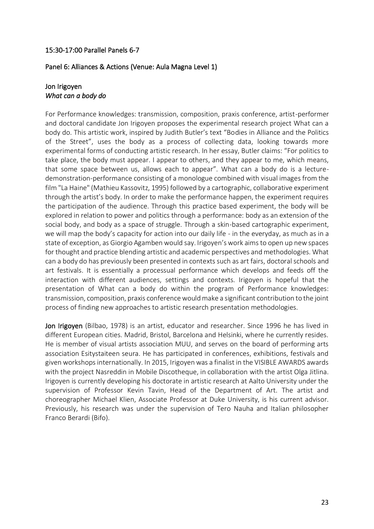#### <span id="page-22-0"></span>15:30-17:00 Parallel Panels 6-7

#### <span id="page-22-1"></span>Panel 6: Alliances & Actions (Venue: Aula Magna Level 1)

#### <span id="page-22-2"></span>Jon Irigoyen *What can a body do*

For Performance knowledges: transmission, composition, praxis conference, artist-performer and doctoral candidate Jon Irigoyen proposes the experimental research project What can a body do. This artistic work, inspired by Judith Butler's text "Bodies in Alliance and the Politics of the Street", uses the body as a process of collecting data, looking towards more experimental forms of conducting artistic research. In her essay, Butler claims: "For politics to take place, the body must appear. I appear to others, and they appear to me, which means, that some space between us, allows each to appear". What can a body do is a lecturedemonstration-performance consisting of a monologue combined with visual images from the film "La Haine" (Mathieu Kassovitz, 1995) followed by a cartographic, collaborative experiment through the artist's body. In order to make the performance happen, the experiment requires the participation of the audience. Through this practice based experiment, the body will be explored in relation to power and politics through a performance: body as an extension of the social body, and body as a space of struggle. Through a skin-based cartographic experiment, we will map the body's capacity for action into our daily life - in the everyday, as much as in a state of exception, as Giorgio Agamben would say. Irigoyen's work aims to open up new spaces for thought and practice blending artistic and academic perspectives and methodologies. What can a body do has previously been presented in contexts such as art fairs, doctoral schools and art festivals. It is essentially a processual performance which develops and feeds off the interaction with different audiences, settings and contexts. Irigoyen is hopeful that the presentation of What can a body do within the program of Performance knowledges: transmission, composition, praxis conference would make a significant contribution to the joint process of finding new approaches to artistic research presentation methodologies.

Jon Irigoyen (Bilbao, 1978) is an artist, educator and researcher. Since 1996 he has lived in different European cities. Madrid, Bristol, Barcelona and Helsinki, where he currently resides. He is member of visual artists association MUU, and serves on the board of performing arts association Esitystaiteen seura. He has participated in conferences, exhibitions, festivals and given workshops internationally. In 2015, Irigoyen was a finalist in the VISIBLE AWARDS awards with the project Nasreddin in Mobile Discotheque, in collaboration with the artist Olga Jitlina. Irigoyen is currently developing his doctorate in artistic research at Aalto University under the supervision of Professor Kevin Tavin, Head of the Department of Art. The artist and choreographer Michael Klien, Associate Professor at Duke University, is his current advisor. Previously, his research was under the supervision of Tero Nauha and Italian philosopher Franco Berardi (Bifo).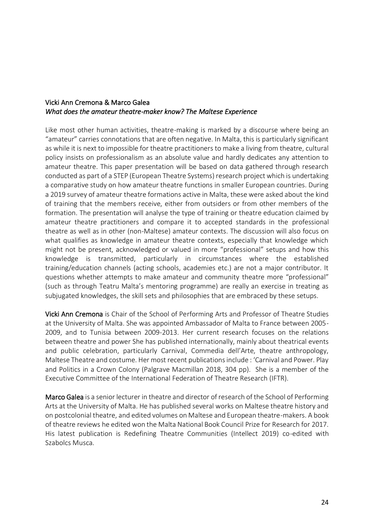#### <span id="page-23-0"></span>Vicki Ann Cremona & Marco Galea *What does the amateur theatre-maker know? The Maltese Experience*

Like most other human activities, theatre-making is marked by a discourse where being an "amateur" carries connotations that are often negative. In Malta, this is particularly significant as while it is next to impossible for theatre practitioners to make a living from theatre, cultural policy insists on professionalism as an absolute value and hardly dedicates any attention to amateur theatre. This paper presentation will be based on data gathered through research conducted as part of a STEP (European Theatre Systems) research project which is undertaking a comparative study on how amateur theatre functions in smaller European countries. During a 2019 survey of amateur theatre formations active in Malta, these were asked about the kind of training that the members receive, either from outsiders or from other members of the formation. The presentation will analyse the type of training or theatre education claimed by amateur theatre practitioners and compare it to accepted standards in the professional theatre as well as in other (non-Maltese) amateur contexts. The discussion will also focus on what qualifies as knowledge in amateur theatre contexts, especially that knowledge which might not be present, acknowledged or valued in more "professional" setups and how this knowledge is transmitted, particularly in circumstances where the established training/education channels (acting schools, academies etc.) are not a major contributor. It questions whether attempts to make amateur and community theatre more "professional" (such as through Teatru Malta's mentoring programme) are really an exercise in treating as subjugated knowledges, the skill sets and philosophies that are embraced by these setups.

Vicki Ann Cremona is Chair of the School of Performing Arts and Professor of Theatre Studies at the University of Malta. She was appointed Ambassador of Malta to France between 2005- 2009, and to Tunisia between 2009-2013. Her current research focuses on the relations between theatre and power She has published internationally, mainly about theatrical events and public celebration, particularly Carnival, Commedia dell'Arte, theatre anthropology, Maltese Theatre and costume. Her most recent publications include : 'Carnival and Power. Play and Politics in a Crown Colony (Palgrave Macmillan 2018, 304 pp). She is a member of the Executive Committee of the International Federation of Theatre Research (IFTR).

Marco Galea is a senior lecturer in theatre and director of research of the School of Performing Arts at the University of Malta. He has published several works on Maltese theatre history and on postcolonial theatre, and edited volumes on Maltese and European theatre-makers. A book of theatre reviews he edited won the Malta National Book Council Prize for Research for 2017. His latest publication is Redefining Theatre Communities (Intellect 2019) co-edited with Szabolcs Musca.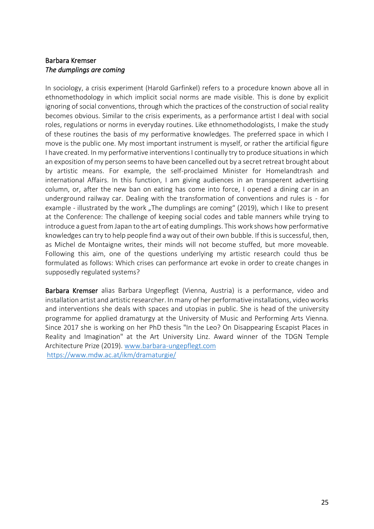#### <span id="page-24-0"></span>Barbara Kremser *The dumplings are coming*

In sociology, a crisis experiment (Harold Garfinkel) refers to a procedure known above all in ethnomethodology in which implicit social norms are made visible. This is done by explicit ignoring of social conventions, through which the practices of the construction of social reality becomes obvious. Similar to the crisis experiments, as a performance artist I deal with social roles, regulations or norms in everyday routines. Like ethnomethodologists, I make the study of these routines the basis of my performative knowledges. The preferred space in which I move is the public one. My most important instrument is myself, or rather the artificial figure I have created. In my performative interventions I continually try to produce situations in which an exposition of my person seems to have been cancelled out by a secret retreat brought about by artistic means. For example, the self-proclaimed Minister for Homelandtrash and international Affairs. In this function, I am giving audiences in an transperent advertising column, or, after the new ban on eating has come into force, I opened a dining car in an underground railway car. Dealing with the transformation of conventions and rules is - for example - illustrated by the work "The dumplings are coming" (2019), which I like to present at the Conference: The challenge of keeping social codes and table manners while trying to introduce a guest from Japan to the art of eating dumplings. This work shows how performative knowledges can try to help people find a way out of their own bubble. If this is successful, then, as Michel de Montaigne writes, their minds will not become stuffed, but more moveable. Following this aim, one of the questions underlying my artistic research could thus be formulated as follows: Which crises can performance art evoke in order to create changes in supposedly regulated systems?

Barbara Kremser alias Barbara Ungepflegt (Vienna, Austria) is a performance, video and installation artist and artistic researcher. In many of her performative installations, video works and interventions she deals with spaces and utopias in public. She is head of the university programme for applied dramaturgy at the University of Music and Performing Arts Vienna. Since 2017 she is working on her PhD thesis "In the Leo? On Disappearing Escapist Places in Reality and Imagination" at the Art University Linz. Award winner of the TDGN Temple Architecture Prize (2019). [www.barbara-ungepflegt.com](http://www.barbara-ungepflegt.com/) <https://www.mdw.ac.at/ikm/dramaturgie/>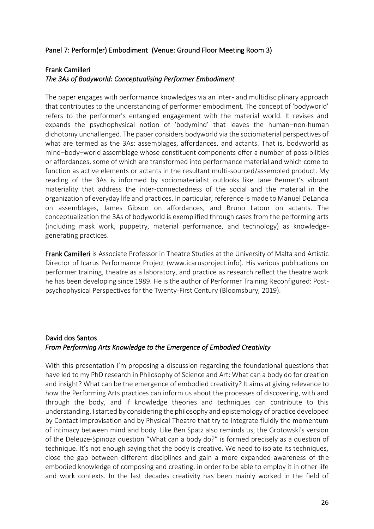#### <span id="page-25-0"></span>Panel 7: Perform(er) Embodiment (Venue: Ground Floor Meeting Room 3)

#### <span id="page-25-1"></span>Frank Camilleri

#### *The 3As of Bodyworld: Conceptualising Performer Embodiment*

The paper engages with performance knowledges via an inter- and multidisciplinary approach that contributes to the understanding of performer embodiment. The concept of 'bodyworld' refers to the performer's entangled engagement with the material world. It revises and expands the psychophysical notion of 'bodymind' that leaves the human–non-human dichotomy unchallenged. The paper considers bodyworld via the sociomaterial perspectives of what are termed as the 3As: assemblages, affordances, and actants. That is, bodyworld as mind–body–world assemblage whose constituent components offer a number of possibilities or affordances, some of which are transformed into performance material and which come to function as active elements or actants in the resultant multi-sourced/assembled product. My reading of the 3As is informed by sociomaterialist outlooks like Jane Bennett's vibrant materiality that address the inter-connectedness of the social and the material in the organization of everyday life and practices. In particular, reference is made to Manuel DeLanda on assemblages, James Gibson on affordances, and Bruno Latour on actants. The conceptualization the 3As of bodyworld is exemplified through cases from the performing arts (including mask work, puppetry, material performance, and technology) as knowledgegenerating practices.

Frank Camilleri is Associate Professor in Theatre Studies at the University of Malta and Artistic Director of Icarus Performance Project (www.icarusproject.info). His various publications on performer training, theatre as a laboratory, and practice as research reflect the theatre work he has been developing since 1989. He is the author of Performer Training Reconfigured: Postpsychophysical Perspectives for the Twenty-First Century (Bloomsbury, 2019).

#### <span id="page-25-2"></span>David dos Santos *From Performing Arts Knowledge to the Emergence of Embodied Creativity*

With this presentation I'm proposing a discussion regarding the foundational questions that have led to my PhD research in Philosophy of Science and Art: What can a body do for creation and insight? What can be the emergence of embodied creativity? It aims at giving relevance to how the Performing Arts practices can inform us about the processes of discovering, with and through the body, and if knowledge theories and techniques can contribute to this understanding. I started by considering the philosophy and epistemology of practice developed by Contact Improvisation and by Physical Theatre that try to integrate fluidly the momentum of intimacy between mind and body. Like Ben Spatz also reminds us, the Grotowski's version of the Deleuze-Spinoza question "What can a body do?" is formed precisely as a question of technique. It's not enough saying that the body is creative. We need to isolate its techniques, close the gap between different disciplines and gain a more expanded awareness of the embodied knowledge of composing and creating, in order to be able to employ it in other life and work contexts. In the last decades creativity has been mainly worked in the field of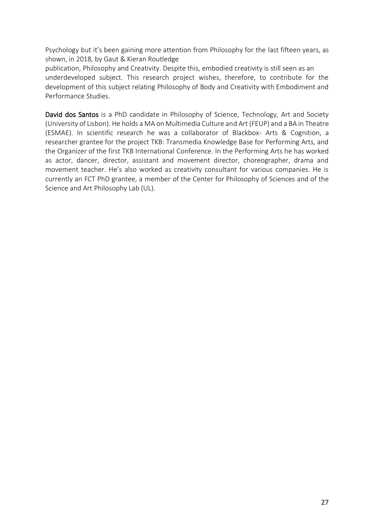Psychology but it's been gaining more attention from Philosophy for the last fifteen years, as shown, in 2018, by Gaut & Kieran Routledge

publication, Philosophy and Creativity. Despite this, embodied creativity is still seen as an underdeveloped subject. This research project wishes, therefore, to contribute for the development of this subject relating Philosophy of Body and Creativity with Embodiment and Performance Studies.

David dos Santos is a PhD candidate in Philosophy of Science, Technology, Art and Society (University of Lisbon). He holds a MA on Multimedia Culture and Art (FEUP) and a BA in Theatre (ESMAE). In scientific research he was a collaborator of Blackbox- Arts & Cognition, a researcher grantee for the project TKB: Transmedia Knowledge Base for Performing Arts, and the Organizer of the first TKB International Conference. In the Performing Arts he has worked as actor, dancer, director, assistant and movement director, choreographer, drama and movement teacher. He's also worked as creativity consultant for various companies. He is currently an FCT PhD grantee, a member of the Center for Philosophy of Sciences and of the Science and Art Philosophy Lab (UL).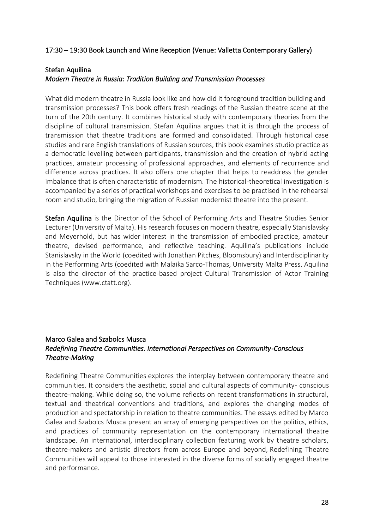#### <span id="page-27-0"></span>17:30 – 19:30 Book Launch and Wine Reception (Venue: Valletta Contemporary Gallery)

#### <span id="page-27-1"></span>Stefan Aquilina

#### *Modern Theatre in Russia: Tradition Building and Transmission Processes*

What did modern theatre in Russia look like and how did it foreground tradition building and transmission processes? This book offers fresh readings of the Russian theatre scene at the turn of the 20th century. It combines historical study with contemporary theories from the discipline of cultural transmission. Stefan Aquilina argues that it is through the process of transmission that theatre traditions are formed and consolidated. Through historical case studies and rare English translations of Russian sources, this book examines studio practice as a democratic levelling between participants, transmission and the creation of hybrid acting practices, amateur processing of professional approaches, and elements of recurrence and difference across practices. It also offers one chapter that helps to readdress the gender imbalance that is often characteristic of modernism. The historical-theoretical investigation is accompanied by a series of practical workshops and exercises to be practised in the rehearsal room and studio, bringing the migration of Russian modernist theatre into the present.

Stefan Aquilina is the Director of the School of Performing Arts and Theatre Studies Senior Lecturer (University of Malta). His research focuses on modern theatre, especially Stanislavsky and Meyerhold, but has wider interest in the transmission of embodied practice, amateur theatre, devised performance, and reflective teaching. Aquilina's publications include Stanislavsky in the World (coedited with Jonathan Pitches, Bloomsbury) and Interdisciplinarity in the Performing Arts (coedited with Malaika Sarco-Thomas, University Malta Press. Aquilina is also the director of the practice-based project Cultural Transmission of Actor Training Techniques (www.ctatt.org).

#### <span id="page-27-2"></span>Marco Galea and Szabolcs Musca *Redefining Theatre Communities. International Perspectives on Community-Conscious Theatre-Making*

Redefining Theatre Communities explores the interplay between contemporary theatre and communities. It considers the aesthetic, social and cultural aspects of community- conscious theatre-making. While doing so, the volume reflects on recent transformations in structural, textual and theatrical conventions and traditions, and explores the changing modes of production and spectatorship in relation to theatre communities. The essays edited by Marco Galea and Szabolcs Musca present an array of emerging perspectives on the politics, ethics, and practices of community representation on the contemporary international theatre landscape. An international, interdisciplinary collection featuring work by theatre scholars, theatre-makers and artistic directors from across Europe and beyond, Redefining Theatre Communities will appeal to those interested in the diverse forms of socially engaged theatre and performance.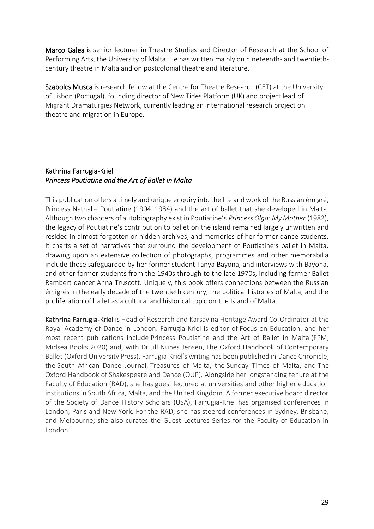Marco Galea is senior lecturer in Theatre Studies and Director of Research at the School of Performing Arts, the University of Malta. He has written mainly on nineteenth- and twentiethcentury theatre in Malta and on postcolonial theatre and literature.

Szabolcs Musca is research fellow at the Centre for Theatre Research (CET) at the University of Lisbon (Portugal), founding director of New Tides Platform (UK) and project lead of Migrant Dramaturgies Network, currently leading an international research project on theatre and migration in Europe.

#### <span id="page-28-0"></span>Kathrina Farrugia-Kriel *Princess Poutiatine and the Art of Ballet in Malta*

This publication offers a timely and unique enquiry into the life and work of the Russian émigré, Princess Nathalie Poutiatine (1904–1984) and the art of ballet that she developed in Malta. Although two chapters of autobiography exist in Poutiatine's *Princess Olga: My Mother* (1982), the legacy of Poutiatine's contribution to ballet on the island remained largely unwritten and resided in almost forgotten or hidden archives, and memories of her former dance students. It charts a set of narratives that surround the development of Poutiatine's ballet in Malta, drawing upon an extensive collection of photographs, programmes and other memorabilia include those safeguarded by her former student Tanya Bayona, and interviews with Bayona, and other former students from the 1940s through to the late 1970s, including former Ballet Rambert dancer Anna Truscott. Uniquely, this book offers connections between the Russian émigrés in the early decade of the twentieth century, the political histories of Malta, and the proliferation of ballet as a cultural and historical topic on the Island of Malta.

Kathrina Farrugia-Kriel is Head of Research and Karsavina Heritage Award Co-Ordinator at the Royal Academy of Dance in London. Farrugia-Kriel is editor of Focus on Education, and her most recent publications include Princess Poutiatine and the Art of Ballet in Malta (FPM, Midsea Books 2020) and, with Dr Jill Nunes Jensen, The Oxford Handbook of Contemporary Ballet (Oxford University Press). Farrugia-Kriel's writing has been published in Dance Chronicle, the South African Dance Journal, Treasures of Malta, the Sunday Times of Malta, and The Oxford Handbook of Shakespeare and Dance (OUP). Alongside her longstanding tenure at the Faculty of Education (RAD), she has guest lectured at universities and other higher education institutions in South Africa, Malta, and the United Kingdom. A former executive board director of the Society of Dance History Scholars (USA), Farrugia-Kriel has organised conferences in London, Paris and New York. For the RAD, she has steered conferences in Sydney, Brisbane, and Melbourne; she also curates the Guest Lectures Series for the Faculty of Education in London.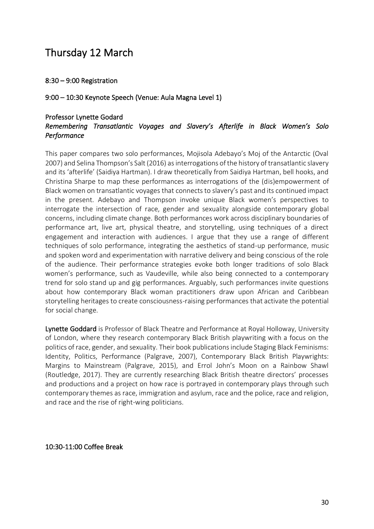### <span id="page-29-0"></span>Thursday 12 March

<span id="page-29-1"></span>8:30 – 9:00 Registration

<span id="page-29-2"></span>9:00 – 10:30 Keynote Speech (Venue: Aula Magna Level 1)

#### <span id="page-29-3"></span>Professor Lynette Godard *Remembering Transatlantic Voyages and Slavery's Afterlife in Black Women's Solo Performance*

This paper compares two solo performances, Mojisola Adebayo's Moj of the Antarctic (Oval 2007) and Selina Thompson's Salt (2016) as interrogations of the history of transatlantic slavery and its 'afterlife' (Saidiya Hartman). I draw theoretically from Saidiya Hartman, bell hooks, and Christina Sharpe to map these performances as interrogations of the (dis)empowerment of Black women on transatlantic voyages that connects to slavery's past and its continued impact in the present. Adebayo and Thompson invoke unique Black women's perspectives to interrogate the intersection of race, gender and sexuality alongside contemporary global concerns, including climate change. Both performances work across disciplinary boundaries of performance art, live art, physical theatre, and storytelling, using techniques of a direct engagement and interaction with audiences. I argue that they use a range of different techniques of solo performance, integrating the aesthetics of stand-up performance, music and spoken word and experimentation with narrative delivery and being conscious of the role of the audience. Their performance strategies evoke both longer traditions of solo Black women's performance, such as Vaudeville, while also being connected to a contemporary trend for solo stand up and gig performances. Arguably, such performances invite questions about how contemporary Black woman practitioners draw upon African and Caribbean storytelling heritages to create consciousness-raising performances that activate the potential for social change.

Lynette Goddard is Professor of Black Theatre and Performance at Royal Holloway, University of London, where they research contemporary Black British playwriting with a focus on the politics of race, gender, and sexuality. Their book publications include Staging Black Feminisms: Identity, Politics, Performance (Palgrave, 2007), Contemporary Black British Playwrights: Margins to Mainstream (Palgrave, 2015), and Errol John's Moon on a Rainbow Shawl (Routledge, 2017). They are currently researching Black British theatre directors' processes and productions and a project on how race is portrayed in contemporary plays through such contemporary themes as race, immigration and asylum, race and the police, race and religion, and race and the rise of right-wing politicians.

<span id="page-29-4"></span>10:30-11:00 Coffee Break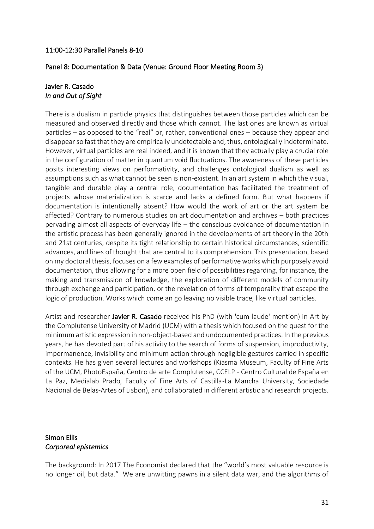#### <span id="page-30-0"></span>11:00-12:30 Parallel Panels 8-10

#### <span id="page-30-1"></span>Panel 8: Documentation & Data (Venue: Ground Floor Meeting Room 3)

#### <span id="page-30-2"></span>Javier R. Casado *In and Out of Sight*

There is a dualism in particle physics that distinguishes between those particles which can be measured and observed directly and those which cannot. The last ones are known as virtual particles – as opposed to the "real" or, rather, conventional ones – because they appear and disappear so fast that they are empirically undetectable and, thus, ontologically indeterminate. However, virtual particles are real indeed, and it is known that they actually play a crucial role in the configuration of matter in quantum void fluctuations. The awareness of these particles posits interesting views on performativity, and challenges ontological dualism as well as assumptions such as what cannot be seen is non-existent. In an art system in which the visual, tangible and durable play a central role, documentation has facilitated the treatment of projects whose materialization is scarce and lacks a defined form. But what happens if documentation is intentionally absent? How would the work of art or the art system be affected? Contrary to numerous studies on art documentation and archives – both practices pervading almost all aspects of everyday life – the conscious avoidance of documentation in the artistic process has been generally ignored in the developments of art theory in the 20th and 21st centuries, despite its tight relationship to certain historical circumstances, scientific advances, and lines of thought that are central to its comprehension. This presentation, based on my doctoral thesis, focuses on a few examples of performative works which purposely avoid documentation, thus allowing for a more open field of possibilities regarding, for instance, the making and transmission of knowledge, the exploration of different models of community through exchange and participation, or the revelation of forms of temporality that escape the logic of production. Works which come an go leaving no visible trace, like virtual particles.

Artist and researcher Javier R. Casado received his PhD (with 'cum laude' mention) in Art by the Complutense University of Madrid (UCM) with a thesis which focused on the quest for the minimum artistic expression in non-object-based and undocumented practices. In the previous years, he has devoted part of his activity to the search of forms of suspension, improductivity, impermanence, invisibility and minimum action through negligible gestures carried in specific contexts. He has given several lectures and workshops (Kiasma Museum, Faculty of Fine Arts of the UCM, PhotoEspaña, Centro de arte Complutense, CCELP - Centro Cultural de España en La Paz, Medialab Prado, Faculty of Fine Arts of Castilla-La Mancha University, Sociedade Nacional de Belas-Artes of Lisbon), and collaborated in different artistic and research projects.

#### <span id="page-30-3"></span>Simon Ellis *Corporeal epistemics*

The background: In 2017 The Economist declared that the "world's most valuable resource is no longer oil, but data." We are unwitting pawns in a silent data war, and the algorithms of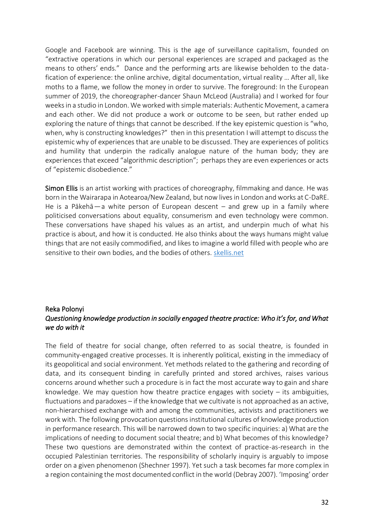Google and Facebook are winning. This is the age of surveillance capitalism, founded on "extractive operations in which our personal experiences are scraped and packaged as the means to others' ends." Dance and the performing arts are likewise beholden to the datafication of experience: the online archive, digital documentation, virtual reality … After all, like moths to a flame, we follow the money in order to survive. The foreground: In the European summer of 2019, the choreographer-dancer Shaun McLeod (Australia) and I worked for four weeks in a studio in London. We worked with simple materials: Authentic Movement, a camera and each other. We did not produce a work or outcome to be seen, but rather ended up exploring the nature of things that cannot be described. If the key epistemic question is "who, when, why is constructing knowledges?" then in this presentation I will attempt to discuss the epistemic why of experiences that are unable to be discussed. They are experiences of politics and humility that underpin the radically analogue nature of the human body; they are experiences that exceed "algorithmic description"; perhaps they are even experiences or acts of "epistemic disobedience."

Simon Ellis is an artist working with practices of choreography, filmmaking and dance. He was born in the Wairarapa in Aotearoa/New Zealand, but now lives in London and works at C-DaRE. He is a Pākehā — a white person of European descent – and grew up in a family where politicised conversations about equality, consumerism and even technology were common. These conversations have shaped his values as an artist, and underpin much of what his practice is about, and how it is conducted. He also thinks about the ways humans might value things that are not easily commodified, and likes to imagine a world filled with people who are sensitive to their own bodies, and the bodies of others. [skellis.net](http://skellis.net/)

#### <span id="page-31-0"></span>Reka Polonyi *Questioning knowledge production in socially engaged theatre practice: Who it's for, and What we do with it*

The field of theatre for social change, often referred to as social theatre, is founded in community-engaged creative processes. It is inherently political, existing in the immediacy of its geopolitical and social environment. Yet methods related to the gathering and recording of data, and its consequent binding in carefully printed and stored archives, raises various concerns around whether such a procedure is in fact the most accurate way to gain and share knowledge. We may question how theatre practice engages with society  $-$  its ambiguities, fluctuations and paradoxes – if the knowledge that we cultivate is not approached as an active, non-hierarchised exchange with and among the communities, activists and practitioners we work with. The following provocation questions institutional cultures of knowledge production in performance research. This will be narrowed down to two specific inquiries: a) What are the implications of needing to document social theatre; and b) What becomes of this knowledge? These two questions are demonstrated within the context of practice-as-research in the occupied Palestinian territories. The responsibility of scholarly inquiry is arguably to impose order on a given phenomenon (Shechner 1997). Yet such a task becomes far more complex in a region containing the most documented conflict in the world (Debray 2007). 'Imposing' order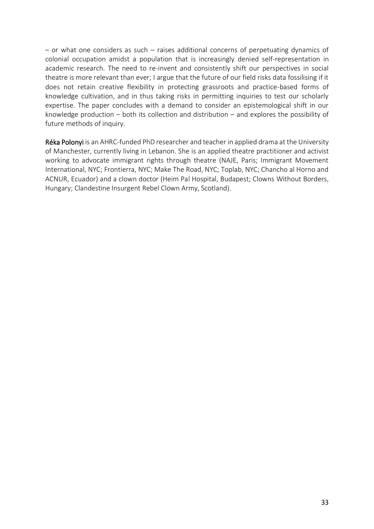– or what one considers as such – raises additional concerns of perpetuating dynamics of colonial occupation amidst a population that is increasingly denied self-representation in academic research. The need to re-invent and consistently shift our perspectives in social theatre is more relevant than ever; I argue that the future of our field risks data fossilising if it does not retain creative flexibility in protecting grassroots and practice-based forms of knowledge cultivation, and in thus taking risks in permitting inquiries to test our scholarly expertise. The paper concludes with a demand to consider an epistemological shift in our knowledge production – both its collection and distribution – and explores the possibility of future methods of inquiry.

Réka Polonyi is an AHRC-funded PhD researcher and teacher in applied drama at the University of Manchester, currently living in Lebanon. She is an applied theatre practitioner and activist working to advocate immigrant rights through theatre (NAJE, Paris; Immigrant Movement International, NYC; Frontierra, NYC; Make The Road, NYC; Toplab, NYC; Chancho al Horno and ACNUR, Ecuador) and a clown doctor (Heim Pal Hospital, Budapest; Clowns Without Borders, Hungary; Clandestine Insurgent Rebel Clown Army, Scotland).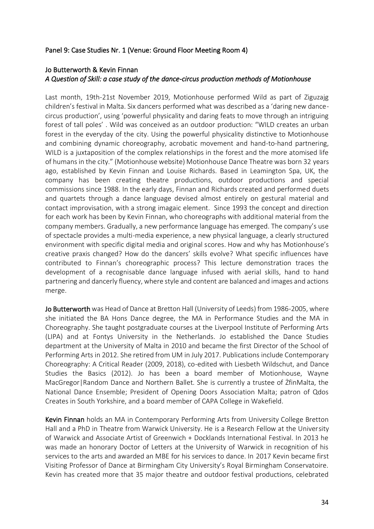#### <span id="page-33-0"></span>Panel 9: Case Studies Nr. 1 (Venue: Ground Floor Meeting Room 4)

#### <span id="page-33-1"></span>Jo Butterworth & Kevin Finnan *A Question of Skill: a case study of the dance-circus production methods of Motionhouse*

Last month, 19th-21st November 2019, Motionhouse performed Wild as part of Ziguzajg children's festival in Malta. Six dancers performed what was described as a 'daring new dancecircus production', using 'powerful physicality and daring feats to move through an intriguing forest of tall poles' . Wild was conceived as an outdoor production: "WILD creates an urban forest in the everyday of the city. Using the powerful physicality distinctive to Motionhouse and combining dynamic choreography, acrobatic movement and hand-to-hand partnering, WILD is a juxtaposition of the complex relationships in the forest and the more atomised life of humans in the city." (Motionhouse website) Motionhouse Dance Theatre was born 32 years ago, established by Kevin Finnan and Louise Richards. Based in Leamington Spa, UK, the company has been creating theatre productions, outdoor productions and special commissions since 1988. In the early days, Finnan and Richards created and performed duets and quartets through a dance language devised almost entirely on gestural material and contact improvisation, with a strong imagaic element. Since 1993 the concept and direction for each work has been by Kevin Finnan, who choreographs with additional material from the company members. Gradually, a new performance language has emerged. The company's use of spectacle provides a multi-media experience, a new physical language, a clearly structured environment with specific digital media and original scores. How and why has Motionhouse's creative praxis changed? How do the dancers' skills evolve? What specific influences have contributed to Finnan's choreographic process? This lecture demonstration traces the development of a recognisable dance language infused with aerial skills, hand to hand partnering and dancerly fluency, where style and content are balanced and images and actions merge.

Jo Butterworth was Head of Dance at Bretton Hall (University of Leeds) from 1986-2005, where she initiated the BA Hons Dance degree, the MA in Performance Studies and the MA in Choreography. She taught postgraduate courses at the Liverpool Institute of Performing Arts (LIPA) and at Fontys University in the Netherlands. Jo established the Dance Studies department at the University of Malta in 2010 and became the first Director of the School of Performing Arts in 2012. She retired from UM in July 2017. Publications include Contemporary Choreography: A Critical Reader (2009, 2018), co-edited with Liesbeth Wildschut, and Dance Studies the Basics (2012). Jo has been a board member of Motionhouse, Wayne MacGregor|Random Dance and Northern Ballet. She is currently a trustee of ŻfinMalta, the National Dance Ensemble; President of Opening Doors Association Malta; patron of Qdos Creates in South Yorkshire, and a board member of CAPA College in Wakefield.

Kevin Finnan holds an MA in Contemporary Performing Arts from University College Bretton Hall and a PhD in Theatre from Warwick University. He is a Research Fellow at the University of Warwick and Associate Artist of Greenwich + Docklands International Festival. In 2013 he was made an honorary Doctor of Letters at the University of Warwick in recognition of his services to the arts and awarded an MBE for his services to dance. In 2017 Kevin became first Visiting Professor of Dance at Birmingham City University's Royal Birmingham Conservatoire. Kevin has created more that 35 major theatre and outdoor festival productions, celebrated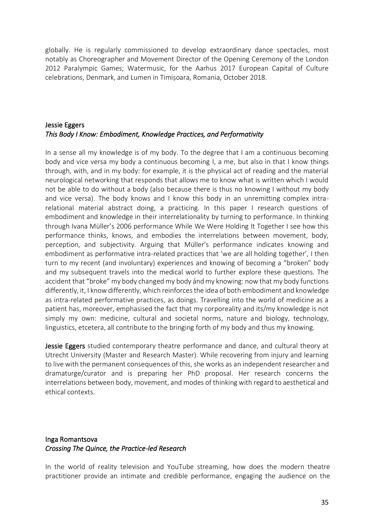globally. He is regularly commissioned to develop extraordinary dance spectacles, most notably as Choreographer and Movement Director of the Opening Ceremony of the London 2012 Paralympic Games; Watermusic, for the Aarhus 2017 European Capital of Culture celebrations, Denmark, and Lumen in Timișoara, Romania, October 2018.

#### <span id="page-34-0"></span>Jessie Eggers *This Body I Know: Embodiment, Knowledge Practices, and Performativity*

In a sense all my knowledge is of my body. To the degree that I am a continuous becoming body and vice versa my body a continuous becoming I, a me, but also in that I know things through, with, and in my body: for example, it is the physical act of reading and the material neurological networking that responds that allows me to know what is written which I would not be able to do without a body (also because there is thus no knowing I without my body and vice versa). The body knows and I know this body in an unremitting complex intrarelational material abstract doing, a practicing. In this paper I research questions of embodiment and knowledge in their interrelationality by turning to performance. In thinking through Ivana Müller's 2006 performance While We Were Holding It Together I see how this performance thinks, knows, and embodies the interrelations between movement, body, perception, and subjectivity. Arguing that Müller's performance indicates knowing and embodiment as performative intra-related practices that 'we are all holding together', I then turn to my recent (and involuntary) experiences and knowing of becoming a "broken" body and my subsequent travels into the medical world to further explore these questions. The accident that "broke" my body changed my body ánd my knowing: now that my body functions differently, it, I know differently, which reinforces the idea of both embodiment and knowledge as intra-related performative practices, as doings. Travelling into the world of medicine as a patient has, moreover, emphasised the fact that my corporeality and its/my knowledge is not simply my own: medicine, cultural and societal norms, nature and biology, technology, linguistics, etcetera, all contribute to the bringing forth of my body and thus my knowing.

Jessie Eggers studied contemporary theatre performance and dance, and cultural theory at Utrecht University (Master and Research Master). While recovering from injury and learning to live with the permanent consequences of this, she works as an independent researcher and dramaturge/curator and is preparing her PhD proposal. Her research concerns the interrelations between body, movement, and modes of thinking with regard to aesthetical and ethical contexts.

#### <span id="page-34-1"></span>Inga Romantsova *Crossing The Quince, the Practice-led Research*

In the world of reality television and YouTube streaming, how does the modern theatre practitioner provide an intimate and credible performance, engaging the audience on the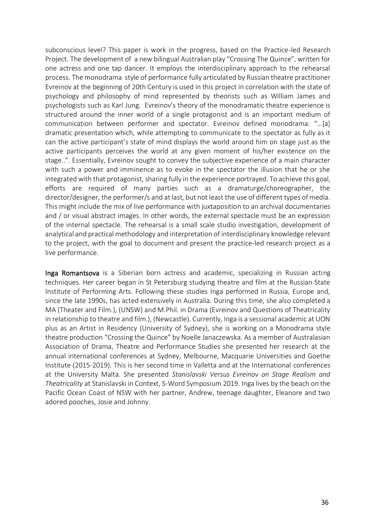subconscious level? This paper is work in the progress, based on the Practice-led Research Project. The development of a new bilingual Australian play "Crossing The Quince", written for one actress and one tap dancer. It employs the interdisciplinary approach to the rehearsal process. The monodrama style of performance fully articulated by Russian theatre practitioner Evreinov at the beginning of 20th Century is used in this project in correlation with the state of psychology and philosophy of mind represented by theorists such as William James and psychologists such as Karl Jung. Evreinov's theory of the monodramatic theatre experience is structured around the inner world of a single protagonist and is an important medium of communication between performer and spectator. Evreinov defined monodrama: "…[a] dramatic presentation which, while attempting to communicate to the spectator as fully as it can the active participant's state of mind displays the world around him on stage just as the active participants perceives the world at any given moment of his/her existence on the stage..". Essentially, Evreinov sought to convey the subjective experience of a main character with such a power and imminence as to evoke in the spectator the illusion that he or she integrated with that protagonist, sharing fully in the experience portrayed. To achieve this goal, efforts are required of many parties such as a dramaturge/choreographer, the director/designer, the performer/s and at last, but not least the use of different types of media. This might include the mix of live performance with juxtaposition to an archival documentaries and / or visual abstract images. In other words, the external spectacle must be an expression of the internal spectacle. The rehearsal is a small scale studio investigation, development of analytical and practical methodology and interpretation of interdisciplinary knowledge relevant to the project, with the goal to document and present the practice-led research project as a live performance.

Inga Romantsova is a Siberian born actress and academic, specializing in Russian acting techniques. Her career began in St Petersburg studying theatre and film at the Russian State Institute of Performing Arts. Following these studies Inga performed in Russia, Europe and, since the late 1990s, has acted extensively in Australia. During this time, she also completed a MA (Theater and Film.), (UNSW) and M.Phil. in Drama (Evreinov and Questions of Theatricality in relationship to theatre and film.), (Newcastle). Currently, Inga is a sessional academic at UON plus as an Artist in Residency (University of Sydney), she is working on a Monodrama style theatre production "Crossing the Quince" by Noelle Janaczewska. As a member of Australasian Association of Drama, Theatre and Performance Studies she presented her research at the annual international conferences at Sydney, Melbourne, Macquarie Universities and Goethe Institute (2015-2019). This is her second time in Valletta and at the International conferences at the University Malta. She presented *Stanislavski Versus Evreinov on Stage Realism and Theatricality* at Stanislavski in Context, S-Word Symposium 2019. Inga lives by the beach on the Pacific Ocean Coast of NSW with her partner, Andrew, teenage daughter, Eleanore and two adored pooches, Josie and Johnny.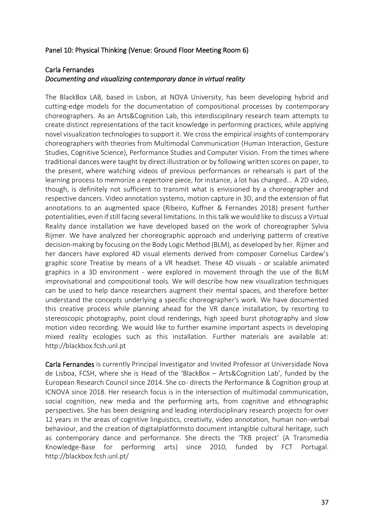## Panel 10: Physical Thinking (Venue: Ground Floor Meeting Room 6)

#### Carla Fernandes

#### *Documenting and visualizing contemporary dance in virtual reality*

The BlackBox LAB, based in Lisbon, at NOVA University, has been developing hybrid and cutting-edge models for the documentation of compositional processes by contemporary choreographers. As an Arts&Cognition Lab, this interdisciplinary research team attempts to create distinct representations of the tacit knowledge in performing practices, while applying novel visualization technologies to support it. We cross the empirical insights of contemporary choreographers with theories from Multimodal Communication (Human Interaction, Gesture Studies, Cognitive Science), Performance Studies and Computer Vision. From the times where traditional dances were taught by direct illustration or by following written scores on paper, to the present, where watching videos of previous performances or rehearsals is part of the learning process to memorize a repertoire piece, for instance, a lot has changed... A 2D video, though, is definitely not sufficient to transmit what is envisioned by a choreographer and respective dancers. Video annotation systems, motion capture in 3D, and the extension of flat annotations to an augmented space (Ribeiro, Kuffner & Fernandes 2018) present further potentialities, even if still facing several limitations. In this talk we would like to discuss a Virtual Reality dance installation we have developed based on the work of choreographer Sylvia Rijmer. We have analyzed her choreographic approach and underlying patterns of creative decision-making by focusing on the Body Logic Method (BLM), as developed by her. Rijmer and her dancers have explored 4D visual elements derived from composer Cornelius Cardew's graphic score Treatise by means of a VR headset. These 4D visuals - or scalable animated graphics in a 3D environment - were explored in movement through the use of the BLM improvisational and compositional tools. We will describe how new visualization techniques can be used to help dance researchers augment their mental spaces, and therefore better understand the concepts underlying a specific choreographer's work. We have documented this creative process while planning ahead for the VR dance installation, by resorting to stereoscopic photography, point cloud renderings, high speed burst photography and slow motion video recording. We would like to further examine important aspects in developing mixed reality ecologies such as this installation. Further materials are available at: http://blackbox.fcsh.unl.pt

Carla Fernandes is currently Principal Investigator and Invited Professor at Universidade Nova de Lisboa, FCSH, where she is Head of the 'BlackBox – Arts&Cognition Lab', funded by the European Research Council since 2014. She co- directs the Performance & Cognition group at ICNOVA since 2018. Her research focus is in the intersection of multimodal communication, social cognition, new media and the performing arts, from cognitive and ethnographic perspectives. She has been designing and leading interdisciplinary research projects for over 12 years in the areas of cognitive linguistics, creativity, video annotation, human non-verbal behaviour, and the creation of digitalplatformsto document intangible cultural heritage, such as contemporary dance and performance. She directs the 'TKB project' (A Transmedia Knowledge-Base for performing arts) since 2010, funded by FCT Portugal. http://blackbox.fcsh.unl.pt/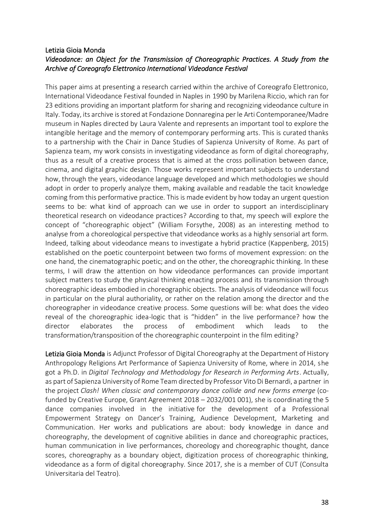## Letizia Gioia Monda *Videodance: an Object for the Transmission of Choreographic Practices. A Study from the Archive of Coreografo Elettronico International Videodance Festival*

This paper aims at presenting a research carried within the archive of Coreografo Elettronico, International Videodance Festival founded in Naples in 1990 by Marilena Riccio, which ran for 23 editions providing an important platform for sharing and recognizing videodance culture in Italy. Today, its archive is stored at Fondazione Donnaregina per le Arti Contemporanee/Madre museum in Naples directed by Laura Valente and represents an important tool to explore the intangible heritage and the memory of contemporary performing arts. This is curated thanks to a partnership with the Chair in Dance Studies of Sapienza University of Rome. As part of Sapienza team, my work consists in investigating videodance as form of digital choreography, thus as a result of a creative process that is aimed at the cross pollination between dance, cinema, and digital graphic design. Those works represent important subjects to understand how, through the years, videodance language developed and which methodologies we should adopt in order to properly analyze them, making available and readable the tacit knowledge coming from this performative practice. This is made evident by how today an urgent question seems to be: what kind of approach can we use in order to support an interdisciplinary theoretical research on videodance practices? According to that, my speech will explore the concept of "choreographic object" (William Forsythe, 2008) as an interesting method to analyse from a choreological perspective that videodance works as a highly sensorial art form. Indeed, talking about videodance means to investigate a hybrid practice (Kappenberg, 2015) established on the poetic counterpoint between two forms of movement expression: on the one hand, the cinematographic poetic; and on the other, the choreographic thinking. In these terms, I will draw the attention on how videodance performances can provide important subject matters to study the physical thinking enacting process and its transmission through choreographic ideas embodied in choreographic objects. The analysis of videodance will focus in particular on the plural authoriality, or rather on the relation among the director and the choreographer in videodance creative process. Some questions will be: what does the video reveal of the choreographic idea-logic that is "hidden" in the live performance? how the director elaborates the process of embodiment which leads to the transformation/transposition of the choreographic counterpoint in the film editing?

Letizia Gioia Monda is Adjunct Professor of Digital Choreography at the Department of History Anthropology Religions Art Performance of Sapienza University of Rome, where in 2014, she got a Ph.D. in *Digital Technology and Methodology for Research in Performing Arts*. Actually, as part of Sapienza University of Rome Team directed by Professor Vito Di Bernardi, a partner in the project *Clash! When classic and contemporary dance collide and new forms emerge* (cofunded by Creative Europe, Grant Agreement 2018 – 2032/001 001), she is coordinating the 5 dance companies involved in the initiative for the development of a Professional Empowerment Strategy on Dancer's Training, Audience Development, Marketing and Communication. Her works and publications are about: body knowledge in dance and choreography, the development of cognitive abilities in dance and choreographic practices, human communication in live performances, choreology and choreographic thought, dance scores, choreography as a boundary object, digitization process of choreographic thinking, videodance as a form of digital choreography. Since 2017, she is a member of CUT (Consulta Universitaria del Teatro).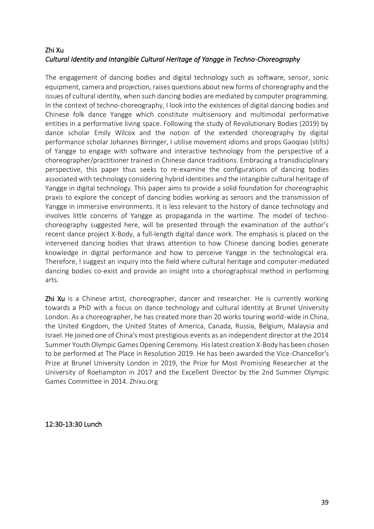# Zhi Xu *Cultural Identity and Intangible Cultural Heritage of Yangge in Techno-Choreography*

The engagement of dancing bodies and digital technology such as software, sensor, sonic equipment, camera and projection, raises questions about new forms of choreography and the issues of cultural identity, when such dancing bodies are mediated by computer programming. In the context of techno-choreography, I look into the existences of digital dancing bodies and Chinese folk dance Yangge which constitute multisensory and multimodal performative entities in a performative living space. Following the study of Revolutionary Bodies (2019) by dance scholar Emily Wilcox and the notion of the extended choreography by digital performance scholar Johannes Birringer, I utilise movement idioms and props Gaoqiao (stilts) of Yangge to engage with software and interactive technology from the perspective of a choreographer/practitioner trained in Chinese dance traditions. Embracing a transdisciplinary perspective, this paper thus seeks to re-examine the configurations of dancing bodies associated with technology considering hybrid identities and the intangible cultural heritage of Yangge in digital technology. This paper aims to provide a solid foundation for choreographic praxis to explore the concept of dancing bodies working as sensors and the transmission of Yangge in immersive environments. It is less relevant to the history of dance technology and involves little concerns of Yangge as propaganda in the wartime. The model of technochoreography suggested here, will be presented through the examination of the author's recent dance project X-Body, a full-length digital dance work. The emphasis is placed on the intervened dancing bodies that draws attention to how Chinese dancing bodies generate knowledge in digital performance and how to perceive Yangge in the technological era. Therefore, I suggest an inquiry into the field where cultural heritage and computer-mediated dancing bodies co-exist and provide an insight into a chorographical method in performing arts.

Zhi Xu is a Chinese artist, choreographer, dancer and researcher. He is currently working towards a PhD with a focus on dance technology and cultural identity at Brunel University London. As a choreographer, he has created more than 20 works touring world-wide in China, the United Kingdom, the United States of America, Canada, Russia, Belgium, Malaysia and Israel. He joined one of China's most prestigious events as an independent director at the 2014 Summer Youth Olympic Games Opening Ceremony. His latest creation X-Body has been chosen to be performed at The Place in Resolution 2019. He has been awarded the Vice-Chancellor's Prize at Brunel University London in 2019, the Prize for Most Promising Researcher at the University of Roehampton in 2017 and the Excellent Director by the 2nd Summer Olympic Games Committee in 2014. Zhixu.org

12:30-13:30 Lunch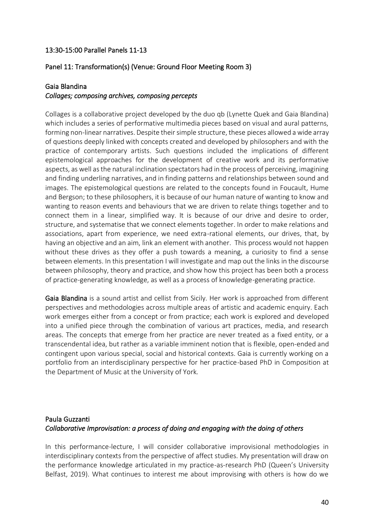#### 13:30-15:00 Parallel Panels 11-13

#### Panel 11: Transformation(s) (Venue: Ground Floor Meeting Room 3)

#### Gaia Blandina

#### *Collages; composing archives, composing percepts*

Collages is a collaborative project developed by the duo qb (Lynette Quek and Gaia Blandina) which includes a series of performative multimedia pieces based on visual and aural patterns, forming non-linear narratives. Despite their simple structure, these pieces allowed a wide array of questions deeply linked with concepts created and developed by philosophers and with the practice of contemporary artists. Such questions included the implications of different epistemological approaches for the development of creative work and its performative aspects, as well as the natural inclination spectators had in the process of perceiving, imagining and finding underling narratives, and in finding patterns and relationships between sound and images. The epistemological questions are related to the concepts found in Foucault, Hume and Bergson; to these philosophers, it is because of our human nature of wanting to know and wanting to reason events and behaviours that we are driven to relate things together and to connect them in a linear, simplified way. It is because of our drive and desire to order, structure, and systematise that we connect elements together. In order to make relations and associations, apart from experience, we need extra-rational elements, our drives, that, by having an objective and an aim, link an element with another. This process would not happen without these drives as they offer a push towards a meaning, a curiosity to find a sense between elements. In this presentation I will investigate and map out the links in the discourse between philosophy, theory and practice, and show how this project has been both a process of practice-generating knowledge, as well as a process of knowledge-generating practice.

Gaia Blandina is a sound artist and cellist from Sicily. Her work is approached from different perspectives and methodologies across multiple areas of artistic and academic enquiry. Each work emerges either from a concept or from practice; each work is explored and developed into a unified piece through the combination of various art practices, media, and research areas. The concepts that emerge from her practice are never treated as a fixed entity, or a transcendental idea, but rather as a variable imminent notion that is flexible, open-ended and contingent upon various special, social and historical contexts. Gaia is currently working on a portfolio from an interdisciplinary perspective for her practice-based PhD in Composition at the Department of Music at the University of York.

# Paula Guzzanti *Collaborative Improvisation: a process of doing and engaging with the doing of others*

In this performance-lecture, I will consider collaborative improvisional methodologies in interdisciplinary contexts from the perspective of affect studies. My presentation will draw on the performance knowledge articulated in my practice-as-research PhD (Queen's University Belfast, 2019). What continues to interest me about improvising with others is how do we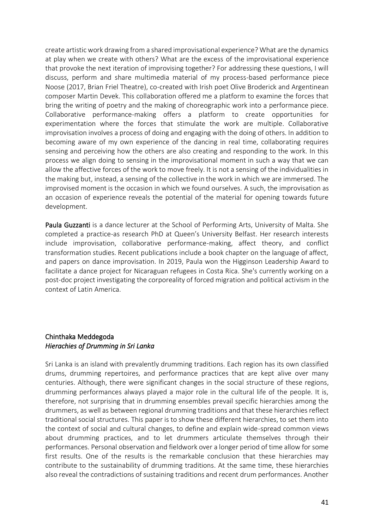create artistic work drawing from a shared improvisational experience? What are the dynamics at play when we create with others? What are the excess of the improvisational experience that provoke the next iteration of improvising together? For addressing these questions, I will discuss, perform and share multimedia material of my process-based performance piece Noose (2017, Brian Friel Theatre), co-created with Irish poet Olive Broderick and Argentinean composer Martin Devek. This collaboration offered me a platform to examine the forces that bring the writing of poetry and the making of choreographic work into a performance piece. Collaborative performance-making offers a platform to create opportunities for experimentation where the forces that stimulate the work are multiple. Collaborative improvisation involves a process of doing and engaging with the doing of others. In addition to becoming aware of my own experience of the dancing in real time, collaborating requires sensing and perceiving how the others are also creating and responding to the work. In this process we align doing to sensing in the improvisational moment in such a way that we can allow the affective forces of the work to move freely. It is not a sensing of the individualities in the making but, instead, a sensing of the collective in the work in which we are immersed. The improvised moment is the occasion in which we found ourselves. A such, the improvisation as an occasion of experience reveals the potential of the material for opening towards future development.

Paula Guzzanti is a dance lecturer at the School of Performing Arts, University of Malta. She completed a practice-as research PhD at Queen's University Belfast. Her research interests include improvisation, collaborative performance-making, affect theory, and conflict transformation studies. Recent publications include a book chapter on the language of affect, and papers on dance improvisation. In 2019, Paula won the Higginson Leadership Award to facilitate a dance project for Nicaraguan refugees in Costa Rica. She's currently working on a post-doc project investigating the corporeality of forced migration and political activism in the context of Latin America.

## Chinthaka Meddegoda *Hierachies of Drumming in Sri Lanka*

Sri Lanka is an island with prevalently drumming traditions. Each region has its own classified drums, drumming repertoires, and performance practices that are kept alive over many centuries. Although, there were significant changes in the social structure of these regions, drumming performances always played a major role in the cultural life of the people. It is, therefore, not surprising that in drumming ensembles prevail specific hierarchies among the drummers, as well as between regional drumming traditions and that these hierarchies reflect traditional social structures. This paper is to show these different hierarchies, to set them into the context of social and cultural changes, to define and explain wide-spread common views about drumming practices, and to let drummers articulate themselves through their performances. Personal observation and fieldwork over a longer period of time allow for some first results. One of the results is the remarkable conclusion that these hierarchies may contribute to the sustainability of drumming traditions. At the same time, these hierarchies also reveal the contradictions of sustaining traditions and recent drum performances. Another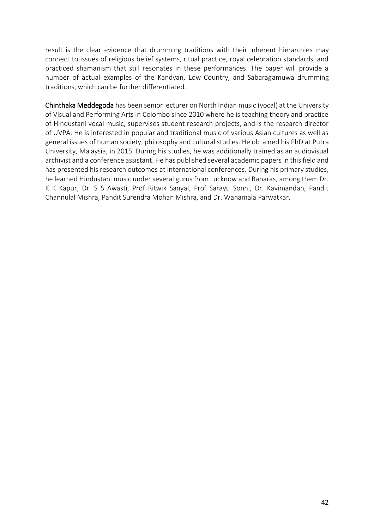result is the clear evidence that drumming traditions with their inherent hierarchies may connect to issues of religious belief systems, ritual practice, royal celebration standards, and practiced shamanism that still resonates in these performances. The paper will provide a number of actual examples of the Kandyan, Low Country, and Sabaragamuwa drumming traditions, which can be further differentiated.

Chinthaka Meddegoda has been senior lecturer on North Indian music (vocal) at the University of Visual and Performing Arts in Colombo since 2010 where he is teaching theory and practice of Hindustani vocal music, supervises student research projects, and is the research director of UVPA. He is interested in popular and traditional music of various Asian cultures as well as general issues of human society, philosophy and cultural studies. He obtained his PhD at Putra University, Malaysia, in 2015. During his studies, he was additionally trained as an audiovisual archivist and a conference assistant. He has published several academic papers in this field and has presented his research outcomes at international conferences. During his primary studies, he learned Hindustani music under several gurus from Lucknow and Banaras, among them Dr. K K Kapur, Dr. S S Awasti, Prof Ritwik Sanyal, Prof Sarayu Sonni, Dr. Kavimandan, Pandit Channulal Mishra, Pandit Surendra Mohan Mishra, and Dr. Wanamala Parwatkar.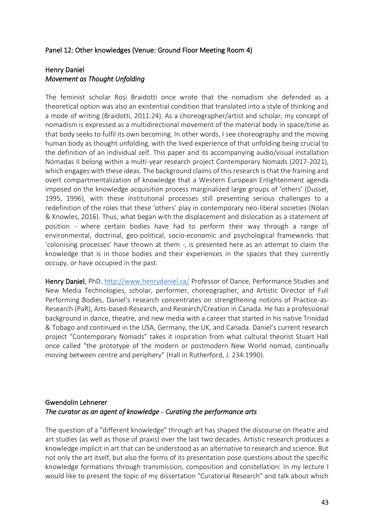#### Panel 12: Other knowledges (Venue: Ground Floor Meeting Room 4)

#### Henry Daniel *Movement as Thought Unfolding*

The feminist scholar Rosi Braidotti once wrote that the nomadism she defended as a theoretical option was also an existential condition that translated into a style of thinking and a mode of writing (Braidotti, 2011:24). As a choreographer/artist and scholar, my concept of nomadism is expressed as a multidirectional movement of the material body in space/time as that body seeks to fulfil its own becoming. In other words, I see choreography and the moving human body as thought unfolding, with the lived experience of that unfolding being crucial to the definition of an individual self. This paper and its accompanying audio/visual installation Nómadas II belong within a multi-year research project Contemporary Nomads (2017-2021), which engages with these ideas. The background claims of this research is that the framing and overt compartmentalization of knowledge that a Western European Enlightenment agenda imposed on the knowledge acquisition process marginalized large groups of 'others' (Dussel, 1995, 1996), with these institutional processes still presenting serious challenges to a redefinition of the roles that these 'others' play in contemporary neo-liberal societies (Nolan & Knowles, 2016). Thus, what began with the displacement and dislocation as a statement of position - where certain bodies have had to perform their way through a range of environmental, doctrinal, geo-political, socio-economic and psychological frameworks that 'colonising processes' have thrown at them -, is presented here as an attempt to claim the knowledge that is in those bodies and their experiences in the spaces that they currently occupy, or have occupied in the past.

Henry Daniel, PhD.<http://www.henrydaniel.ca/> Professor of Dance, Performance Studies and New Media Technologies, scholar, performer, choreographer, and Artistic Director of Full Performing Bodies, Daniel's research concentrates on strengthening notions of Practice-as-Research (PaR), Arts-based-Research, and Research/Creation in Canada. He has a professional background in dance, theatre, and new media with a career that started in his native Trinidad & Tobago and continued in the USA, Germany, the UK, and Canada. Daniel's current research project "Contemporary Nomads" takes it inspiration from what cultural theorist Stuart Hall once called "the prototype of the modern or postmodern New World nomad, continually moving between centre and periphery" (Hall in Rutherford, J. 234:1990).

## Gwendolin Lehnerer *The curator as an agent of knowledge - Curating the performance arts*

The question of a "different knowledge" through art has shaped the discourse on theatre and art studies (as well as those of praxis) over the last two decades. Artistic research produces a knowledge implicit in art that can be understood as an alternative to research and science. But not only the art itself, but also the forms of its presentation pose questions about the specific knowledge formations through transmission, composition and constellation: In my lecture I would like to present the topic of my dissertation "Curatorial Research" and talk about which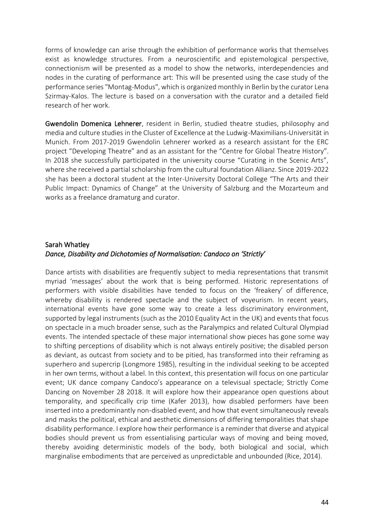forms of knowledge can arise through the exhibition of performance works that themselves exist as knowledge structures. From a neuroscientific and epistemological perspective, connectionism will be presented as a model to show the networks, interdependencies and nodes in the curating of performance art: This will be presented using the case study of the performance series "Montag-Modus", which is organized monthly in Berlin by the curator Lena Szirmay-Kalos. The lecture is based on a conversation with the curator and a detailed field research of her work.

Gwendolin Domenica Lehnerer, resident in Berlin, studied theatre studies, philosophy and media and culture studies in the Cluster of Excellence at the Ludwig-Maximilians-Universität in Munich. From 2017-2019 Gwendolin Lehnerer worked as a research assistant for the ERC project "Developing Theatre" and as an assistant for the "Centre for Global Theatre History". In 2018 she successfully participated in the university course "Curating in the Scenic Arts", where she received a partial scholarship from the cultural foundation Allianz. Since 2019-2022 she has been a doctoral student at the Inter-University Doctoral College "The Arts and their Public Impact: Dynamics of Change" at the University of Salzburg and the Mozarteum and works as a freelance dramaturg and curator.

# Sarah Whatley *Dance, Disability and Dichotomies of Normalisation: Candoco on 'Strictly'*

Dance artists with disabilities are frequently subject to media representations that transmit myriad 'messages' about the work that is being performed. Historic representations of performers with visible disabilities have tended to focus on the 'freakery' of difference, whereby disability is rendered spectacle and the subject of voyeurism. In recent years, international events have gone some way to create a less discriminatory environment, supported by legal instruments (such as the 2010 Equality Act in the UK) and events that focus on spectacle in a much broader sense, such as the Paralympics and related Cultural Olympiad events. The intended spectacle of these major international show pieces has gone some way to shifting perceptions of disability which is not always entirely positive; the disabled person as deviant, as outcast from society and to be pitied, has transformed into their reframing as superhero and supercrip (Longmore 1985), resulting in the individual seeking to be accepted in her own terms, without a label. In this context, this presentation will focus on one particular event; UK dance company Candoco's appearance on a televisual spectacle; Strictly Come Dancing on November 28 2018. It will explore how their appearance open questions about temporality, and specifically crip time (Kafer 2013), how disabled performers have been inserted into a predominantly non-disabled event, and how that event simultaneously reveals and masks the political, ethical and aesthetic dimensions of differing temporalities that shape disability performance. I explore how their performance is a reminder that diverse and atypical bodies should prevent us from essentialising particular ways of moving and being moved, thereby avoiding deterministic models of the body, both biological and social, which marginalise embodiments that are perceived as unpredictable and unbounded (Rice, 2014).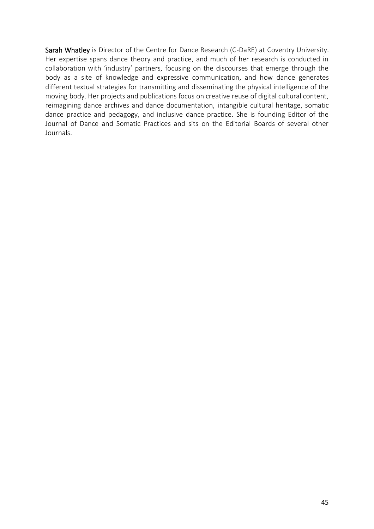Sarah Whatley is Director of the Centre for Dance Research (C-DaRE) at Coventry University. Her expertise spans dance theory and practice, and much of her research is conducted in collaboration with 'industry' partners, focusing on the discourses that emerge through the body as a site of knowledge and expressive communication, and how dance generates different textual strategies for transmitting and disseminating the physical intelligence of the moving body. Her projects and publications focus on creative reuse of digital cultural content, reimagining dance archives and dance documentation, intangible cultural heritage, somatic dance practice and pedagogy, and inclusive dance practice. She is founding Editor of the Journal of Dance and Somatic Practices and sits on the Editorial Boards of several other Journals.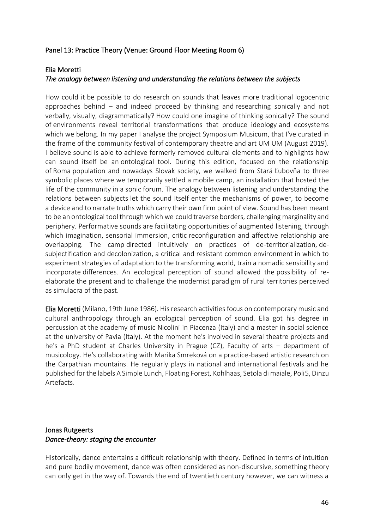## Panel 13: Practice Theory (Venue: Ground Floor Meeting Room 6)

#### Elia Moretti

## *The analogy between listening and understanding the relations between the subjects*

How could it be possible to do research on sounds that leaves more traditional logocentric approaches behind – and indeed proceed by thinking and researching sonically and not verbally, visually, diagrammatically? How could one imagine of thinking sonically? The sound of environments reveal territorial transformations that produce ideology and ecosystems which we belong. In my paper I analyse the project Symposium Musicum, that I've curated in the frame of the community festival of contemporary theatre and art UM UM (August 2019). I believe sound is able to achieve formerly removed cultural elements and to highlights how can sound itself be an ontological tool. During this edition, focused on the relationship of Roma population and nowadays Slovak society, we walked from Stará Ľubovňa to three symbolic places where we temporarily settled a mobile camp, an installation that hosted the life of the community in a sonic forum. The analogy between listening and understanding the relations between subjects let the sound itself enter the mechanisms of power, to become a device and to narrate truths which carry their own firm point of view. Sound has been meant to be an ontological tool through which we could traverse borders, challenging marginality and periphery. Performative sounds are facilitating opportunities of augmented listening, through which imagination, sensorial immersion, critic reconfiguration and affective relationship are overlapping. The camp directed intuitively on practices of de-territorialization, desubjectification and decolonization, a critical and resistant common environment in which to experiment strategies of adaptation to the transforming world, train a nomadic sensibility and incorporate differences. An ecological perception of sound allowed the possibility of reelaborate the present and to challenge the modernist paradigm of rural territories perceived as simulacra of the past.

Elia Moretti (Milano, 19th June 1986). His research activities focus on contemporary music and cultural anthropology through an ecological perception of sound. Elia got his degree in percussion at the academy of music Nicolini in Piacenza (Italy) and a master in social science at the university of Pavia (Italy). At the moment he's involved in several theatre projects and he's a PhD student at Charles University in Prague (CZ), Faculty of arts – department of musicology. He's collaborating with Marika Smreková on a practice-based artistic research on the Carpathian mountains. He regularly plays in national and international festivals and he published for the labels A Simple Lunch, Floating Forest, Kohlhaas, Setola di maiale, Poli5, Dinzu Artefacts.

## Jonas Rutgeerts *Dance-theory: staging the encounter*

Historically, dance entertains a difficult relationship with theory. Defined in terms of intuition and pure bodily movement, dance was often considered as non-discursive, something theory can only get in the way of. Towards the end of twentieth century however, we can witness a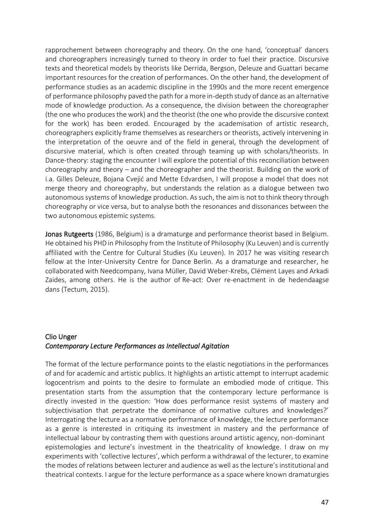rapprochement between choreography and theory. On the one hand, 'conceptual' dancers and choreographers increasingly turned to theory in order to fuel their practice. Discursive texts and theoretical models by theorists like Derrida, Bergson, Deleuze and Guattari became important resources for the creation of performances. On the other hand, the development of performance studies as an academic discipline in the 1990s and the more recent emergence of performance philosophy paved the path for a more in-depth study of dance as an alternative mode of knowledge production. As a consequence, the division between the choreographer (the one who produces the work) and the theorist (the one who provide the discursive context for the work) has been eroded. Encouraged by the academisation of artistic research, choreographers explicitly frame themselves as researchers or theorists, actively intervening in the interpretation of the oeuvre and of the field in general, through the development of discursive material, which is often created through teaming up with scholars/theorists. In Dance-theory: staging the encounter I will explore the potential of this reconciliation between choreography and theory – and the choreographer and the theorist. Building on the work of i.a. Gilles Deleuze, Bojana Cvejić and Mette Edvardsen, I will propose a model that does not merge theory and choreography, but understands the relation as a dialogue between two autonomous systems of knowledge production. As such, the aim is not to think theory through choreography or vice versa, but to analyse both the resonances and dissonances between the two autonomous epistemic systems.

Jonas Rutgeerts (1986, Belgium) is a dramaturge and performance theorist based in Belgium. He obtained his PHD in Philosophy from the Institute of Philosophy (Ku Leuven) and is currently affiliated with the Centre for Cultural Studies (Ku Leuven). In 2017 he was visiting research fellow at the Inter-University Centre for Dance Berlin. As a dramaturge and researcher, he collaborated with Needcompany, Ivana Müller, David Weber-Krebs, Clément Layes and Arkadi Zaides, among others. He is the author of Re-act: Over re-enactment in de hedendaagse dans (Tectum, 2015).

# Clio Unger *Contemporary Lecture Performances as Intellectual Agitation*

The format of the lecture performance points to the elastic negotiations in the performances of and for academic and artistic publics. It highlights an artistic attempt to interrupt academic logocentrism and points to the desire to formulate an embodied mode of critique. This presentation starts from the assumption that the contemporary lecture performance is directly invested in the question: 'How does performance resist systems of mastery and subjectivisation that perpetrate the dominance of normative cultures and knowledges?' Interrogating the lecture as a normative performance of knowledge, the lecture performance as a genre is interested in critiquing its investment in mastery and the performance of intellectual labour by contrasting them with questions around artistic agency, non-dominant epistemologies and lecture's investment in the theatricality of knowledge. I draw on my experiments with 'collective lectures', which perform a withdrawal of the lecturer, to examine the modes of relations between lecturer and audience as well as the lecture's institutional and theatrical contexts. I argue for the lecture performance as a space where known dramaturgies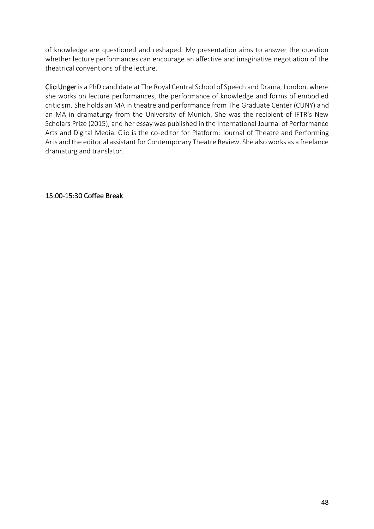of knowledge are questioned and reshaped. My presentation aims to answer the question whether lecture performances can encourage an affective and imaginative negotiation of the theatrical conventions of the lecture.

Clio Unger is a PhD candidate at The Royal Central School of Speech and Drama, London, where she works on lecture performances, the performance of knowledge and forms of embodied criticism. She holds an MA in theatre and performance from The Graduate Center (CUNY) and an MA in dramaturgy from the University of Munich. She was the recipient of IFTR's New Scholars Prize (2015), and her essay was published in the International Journal of Performance Arts and Digital Media. Clio is the co-editor for Platform: Journal of Theatre and Performing Arts and the editorial assistant for Contemporary Theatre Review. She also works as a freelance dramaturg and translator.

15:00-15:30 Coffee Break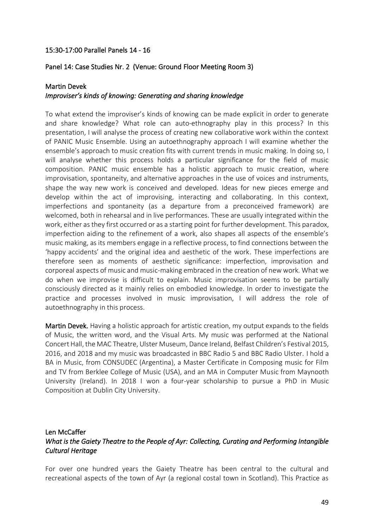#### 15:30-17:00 Parallel Panels 14 - 16

#### Panel 14: Case Studies Nr. 2 (Venue: Ground Floor Meeting Room 3)

#### Martin Devek

#### *Improviser's kinds of knowing: Generating and sharing knowledge*

To what extend the improviser's kinds of knowing can be made explicit in order to generate and share knowledge? What role can auto-ethnography play in this process? In this presentation, I will analyse the process of creating new collaborative work within the context of PANIC Music Ensemble. Using an autoethnography approach I will examine whether the ensemble's approach to music creation fits with current trends in music making. In doing so, I will analyse whether this process holds a particular significance for the field of music composition. PANIC music ensemble has a holistic approach to music creation, where improvisation, spontaneity, and alternative approaches in the use of voices and instruments, shape the way new work is conceived and developed. Ideas for new pieces emerge and develop within the act of improvising, interacting and collaborating. In this context, imperfections and spontaneity (as a departure from a preconceived framework) are welcomed, both in rehearsal and in live performances. These are usually integrated within the work, either as they first occurred or as a starting point for further development. This paradox, imperfection aiding to the refinement of a work, also shapes all aspects of the ensemble's music making, as its members engage in a reflective process, to find connections between the 'happy accidents' and the original idea and aesthetic of the work. These imperfections are therefore seen as moments of aesthetic significance: imperfection, improvisation and corporeal aspects of music and music-making embraced in the creation of new work. What we do when we improvise is difficult to explain. Music improvisation seems to be partially consciously directed as it mainly relies on embodied knowledge. In order to investigate the practice and processes involved in music improvisation, I will address the role of autoethnography in this process.

Martin Devek. Having a holistic approach for artistic creation, my output expands to the fields of Music, the written word, and the Visual Arts. My music was performed at the National Concert Hall, the MAC Theatre, Ulster Museum, Dance Ireland, Belfast Children's Festival 2015, 2016, and 2018 and my music was broadcasted in BBC Radio 5 and BBC Radio Ulster. I hold a BA in Music, from CONSUDEC (Argentina), a Master Certificate in Composing music for Film and TV from Berklee College of Music (USA), and an MA in Computer Music from Maynooth University (Ireland). In 2018 I won a four-year scholarship to pursue a PhD in Music Composition at Dublin City University.

## Len McCaffer *What is the Gaiety Theatre to the People of Ayr: Collecting, Curating and Performing Intangible Cultural Heritage*

For over one hundred years the Gaiety Theatre has been central to the cultural and recreational aspects of the town of Ayr (a regional costal town in Scotland). This Practice as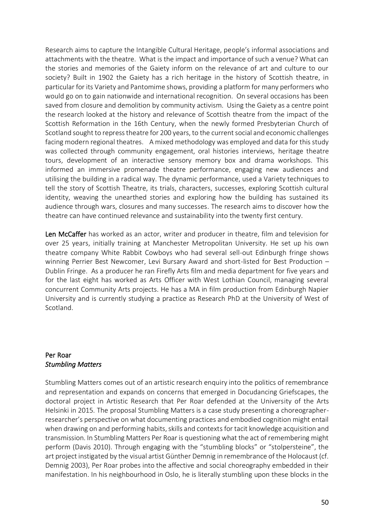Research aims to capture the Intangible Cultural Heritage, people's informal associations and attachments with the theatre. What is the impact and importance of such a venue? What can the stories and memories of the Gaiety inform on the relevance of art and culture to our society? Built in 1902 the Gaiety has a rich heritage in the history of Scottish theatre, in particular for its Variety and Pantomime shows, providing a platform for many performers who would go on to gain nationwide and international recognition. On several occasions has been saved from closure and demolition by community activism. Using the Gaiety as a centre point the research looked at the history and relevance of Scottish theatre from the impact of the Scottish Reformation in the 16th Century, when the newly formed Presbyterian Church of Scotland sought to repress theatre for 200 years, to the current social and economic challenges facing modern regional theatres. A mixed methodology was employed and data for this study was collected through community engagement, oral histories interviews, heritage theatre tours, development of an interactive sensory memory box and drama workshops. This informed an immersive promenade theatre performance, engaging new audiences and utilising the building in a radical way. The dynamic performance, used a Variety techniques to tell the story of Scottish Theatre, its trials, characters, successes, exploring Scottish cultural identity, weaving the unearthed stories and exploring how the building has sustained its audience through wars, closures and many successes. The research aims to discover how the theatre can have continued relevance and sustainability into the twenty first century.

Len McCaffer has worked as an actor, writer and producer in theatre, film and television for over 25 years, initially training at Manchester Metropolitan University. He set up his own theatre company White Rabbit Cowboys who had several sell-out Edinburgh fringe shows winning Perrier Best Newcomer, Levi Bursary Award and short-listed for Best Production – Dublin Fringe. As a producer he ran Firefly Arts film and media department for five years and for the last eight has worked as Arts Officer with West Lothian Council, managing several concurrent Community Arts projects. He has a MA in film production from Edinburgh Napier University and is currently studying a practice as Research PhD at the University of West of Scotland.

## Per Roar *Stumbling Matters*

Stumbling Matters comes out of an artistic research enquiry into the politics of remembrance and representation and expands on concerns that emerged in Docudancing Griefscapes, the doctoral project in Artistic Research that Per Roar defended at the University of the Arts Helsinki in 2015. The proposal Stumbling Matters is a case study presenting a choreographerresearcher's perspective on what documenting practices and embodied cognition might entail when drawing on and performing habits, skills and contexts for tacit knowledge acquisition and transmission. In Stumbling Matters Per Roar is questioning what the act of remembering might perform (Davis 2010). Through engaging with the "stumbling blocks" or "stolpersteine", the art project instigated by the visual artist Günther Demnig in remembrance of the Holocaust (cf. Demnig 2003), Per Roar probes into the affective and social choreography embedded in their manifestation. In his neighbourhood in Oslo, he is literally stumbling upon these blocks in the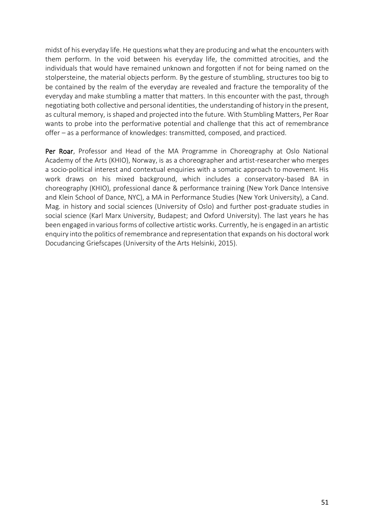midst of his everyday life. He questions what they are producing and what the encounters with them perform. In the void between his everyday life, the committed atrocities, and the individuals that would have remained unknown and forgotten if not for being named on the stolpersteine, the material objects perform. By the gesture of stumbling, structures too big to be contained by the realm of the everyday are revealed and fracture the temporality of the everyday and make stumbling a matter that matters. In this encounter with the past, through negotiating both collective and personal identities, the understanding of history in the present, as cultural memory, is shaped and projected into the future. With Stumbling Matters, Per Roar wants to probe into the performative potential and challenge that this act of remembrance offer – as a performance of knowledges: transmitted, composed, and practiced.

Per Roar, Professor and Head of the MA Programme in Choreography at Oslo National Academy of the Arts (KHIO), Norway, is as a choreographer and artist-researcher who merges a socio-political interest and contextual enquiries with a somatic approach to movement. His work draws on his mixed background, which includes a conservatory-based BA in choreography (KHIO), professional dance & performance training (New York Dance Intensive and Klein School of Dance, NYC), a MA in Performance Studies (New York University), a Cand. Mag. in history and social sciences (University of Oslo) and further post-graduate studies in social science (Karl Marx University, Budapest; and Oxford University). The last years he has been engaged in various forms of collective artistic works. Currently, he is engaged in an artistic enquiry into the politics of remembrance and representation that expands on his doctoral work Docudancing Griefscapes (University of the Arts Helsinki, 2015).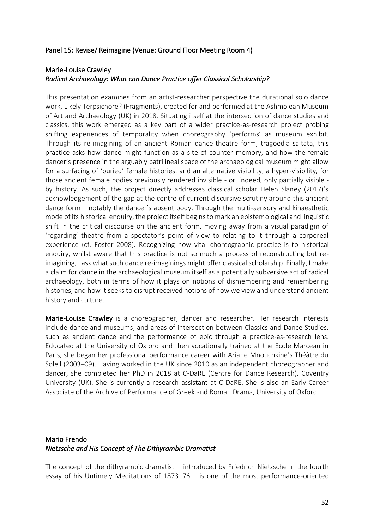#### Panel 15: Revise/ Reimagine (Venue: Ground Floor Meeting Room 4)

## Marie-Louise Crawley *Radical Archaeology: What can Dance Practice offer Classical Scholarship?*

This presentation examines from an artist-researcher perspective the durational solo dance work, Likely Terpsichore? (Fragments), created for and performed at the Ashmolean Museum of Art and Archaeology (UK) in 2018. Situating itself at the intersection of dance studies and classics, this work emerged as a key part of a wider practice-as-research project probing shifting experiences of temporality when choreography 'performs' as museum exhibit. Through its re-imagining of an ancient Roman dance-theatre form, tragoedia saltata, this practice asks how dance might function as a site of counter-memory, and how the female dancer's presence in the arguably patrilineal space of the archaeological museum might allow for a surfacing of 'buried' female histories, and an alternative visibility, a hyper-visibility, for those ancient female bodies previously rendered invisible - or, indeed, only partially visible by history. As such, the project directly addresses classical scholar Helen Slaney (2017)'s acknowledgement of the gap at the centre of current discursive scrutiny around this ancient dance form – notably the dancer's absent body. Through the multi-sensory and kinaesthetic mode of its historical enquiry, the project itself begins to mark an epistemological and linguistic shift in the critical discourse on the ancient form, moving away from a visual paradigm of 'regarding' theatre from a spectator's point of view to relating to it through a corporeal experience (cf. Foster 2008). Recognizing how vital choreographic practice is to historical enquiry, whilst aware that this practice is not so much a process of reconstructing but reimagining, I ask what such dance re-imaginings might offer classical scholarship. Finally, I make a claim for dance in the archaeological museum itself as a potentially subversive act of radical archaeology, both in terms of how it plays on notions of dismembering and remembering histories, and how it seeks to disrupt received notions of how we view and understand ancient history and culture.

Marie-Louise Crawley is a choreographer, dancer and researcher. Her research interests include dance and museums, and areas of intersection between Classics and Dance Studies, such as ancient dance and the performance of epic through a practice-as-research lens. Educated at the University of Oxford and then vocationally trained at the Ecole Marceau in Paris, she began her professional performance career with Ariane Mnouchkine's Théâtre du Soleil (2003–09). Having worked in the UK since 2010 as an independent choreographer and dancer, she completed her PhD in 2018 at C-DaRE (Centre for Dance Research), Coventry University (UK). She is currently a research assistant at C-DaRE. She is also an Early Career Associate of the Archive of Performance of Greek and Roman Drama, University of Oxford.

## Mario Frendo *Nietzsche and His Concept of The Dithyrambic Dramatist*

The concept of the dithyrambic dramatist – introduced by Friedrich Nietzsche in the fourth essay of his Untimely Meditations of 1873–76 – is one of the most performance-oriented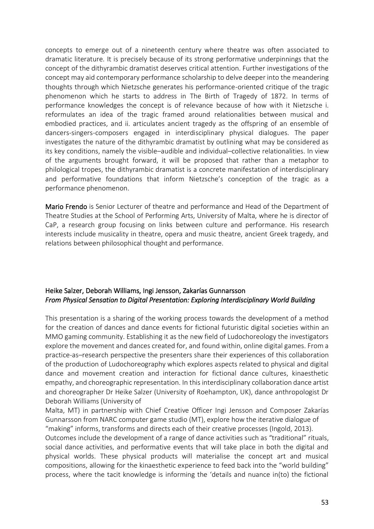concepts to emerge out of a nineteenth century where theatre was often associated to dramatic literature. It is precisely because of its strong performative underpinnings that the concept of the dithyrambic dramatist deserves critical attention. Further investigations of the concept may aid contemporary performance scholarship to delve deeper into the meandering thoughts through which Nietzsche generates his performance-oriented critique of the tragic phenomenon which he starts to address in The Birth of Tragedy of 1872. In terms of performance knowledges the concept is of relevance because of how with it Nietzsche i. reformulates an idea of the tragic framed around relationalities between musical and embodied practices, and ii. articulates ancient tragedy as the offspring of an ensemble of dancers-singers-composers engaged in interdisciplinary physical dialogues. The paper investigates the nature of the dithyrambic dramatist by outlining what may be considered as its key conditions, namely the visible–audible and individual–collective relationalities. In view of the arguments brought forward, it will be proposed that rather than a metaphor to philological tropes, the dithyrambic dramatist is a concrete manifestation of interdisciplinary and performative foundations that inform Nietzsche's conception of the tragic as a performance phenomenon.

Mario Frendo is Senior Lecturer of theatre and performance and Head of the Department of Theatre Studies at the School of Performing Arts, University of Malta, where he is director of CaP, a research group focusing on links between culture and performance. His research interests include musicality in theatre, opera and music theatre, ancient Greek tragedy, and relations between philosophical thought and performance.

## Heike Salzer, Deborah Williams, Ingi Jensson, Zakarías Gunnarsson *From Physical Sensation to Digital Presentation: Exploring Interdisciplinary World Building*

This presentation is a sharing of the working process towards the development of a method for the creation of dances and dance events for fictional futuristic digital societies within an MMO gaming community. Establishing it as the new field of Ludochoreology the investigators explore the movement and dances created for, and found within, online digital games. From a practice-as–research perspective the presenters share their experiences of this collaboration of the production of Ludochoreography which explores aspects related to physical and digital dance and movement creation and interaction for fictional dance cultures, kinaesthetic empathy, and choreographic representation. In this interdisciplinary collaboration dance artist and choreographer Dr Heike Salzer (University of Roehampton, UK), dance anthropologist Dr Deborah Williams (University of

Malta, MT) in partnership with Chief Creative Officer Ingi Jensson and Composer Zakarías Gunnarsson from NARC computer game studio (MT), explore how the iterative dialogue of "making" informs, transforms and directs each of their creative processes (Ingold, 2013). Outcomes include the development of a range of dance activities such as "traditional" rituals, social dance activities, and performative events that will take place in both the digital and physical worlds. These physical products will materialise the concept art and musical compositions, allowing for the kinaesthetic experience to feed back into the "world building" process, where the tacit knowledge is informing the 'details and nuance in(to) the fictional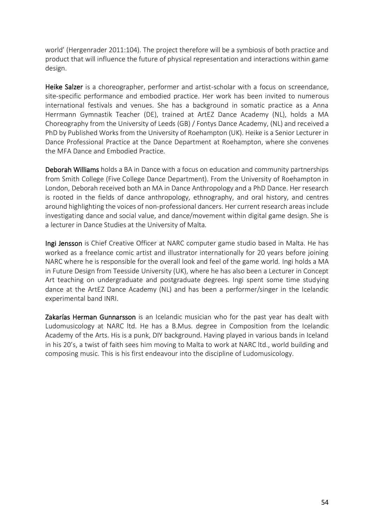world' (Hergenrader 2011:104). The project therefore will be a symbiosis of both practice and product that will influence the future of physical representation and interactions within game design.

Heike Salzer is a choreographer, performer and artist-scholar with a focus on screendance, site-specific performance and embodied practice. Her work has been invited to numerous international festivals and venues. She has a background in somatic practice as a Anna Herrmann Gymnastik Teacher (DE), trained at ArtEZ Dance Academy (NL), holds a MA Choreography from the University of Leeds (GB) / Fontys Dance Academy, (NL) and received a PhD by Published Works from the University of Roehampton (UK). Heike is a Senior Lecturer in Dance Professional Practice at the Dance Department at Roehampton, where she convenes the MFA Dance and Embodied Practice.

Deborah Williams holds a BA in Dance with a focus on education and community partnerships from Smith College (Five College Dance Department). From the University of Roehampton in London, Deborah received both an MA in Dance Anthropology and a PhD Dance. Her research is rooted in the fields of dance anthropology, ethnography, and oral history, and centres around highlighting the voices of non-professional dancers. Her current research areas include investigating dance and social value, and dance/movement within digital game design. She is a lecturer in Dance Studies at the University of Malta.

Ingi Jensson is Chief Creative Officer at NARC computer game studio based in Malta. He has worked as a freelance comic artist and illustrator internationally for 20 years before joining NARC where he is responsible for the overall look and feel of the game world. Ingi holds a MA in Future Design from Teesside University (UK), where he has also been a Lecturer in Concept Art teaching on undergraduate and postgraduate degrees. Ingi spent some time studying dance at the ArtEZ Dance Academy (NL) and has been a performer/singer in the Icelandic experimental band INRI.

Zakarías Herman Gunnarsson is an Icelandic musician who for the past year has dealt with Ludomusicology at NARC ltd. He has a B.Mus. degree in Composition from the Icelandic Academy of the Arts. His is a punk, DIY background. Having played in various bands in Iceland in his 20's, a twist of faith sees him moving to Malta to work at NARC ltd., world building and composing music. This is his first endeavour into the discipline of Ludomusicology.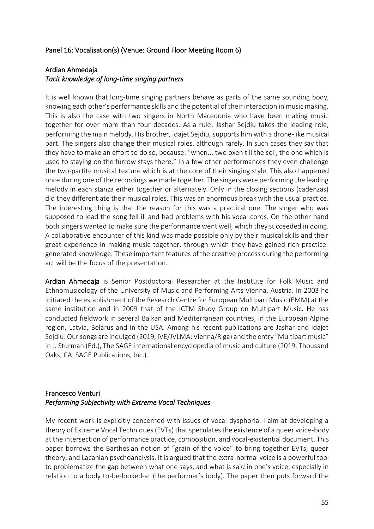## Panel 16: Vocalisation(s) (Venue: Ground Floor Meeting Room 6)

## Ardian Ahmedaja *Tacit knowledge of long-time singing partners*

It is well known that long-time singing partners behave as parts of the same sounding body, knowing each other's performance skills and the potential of their interaction in music making. This is also the case with two singers in North Macedonia who have been making music together for over more than four decades. As a rule, Jashar Sejdiu takes the leading role, performing the main melody. His brother, Idajet Sejdiu, supports him with a drone-like musical part. The singers also change their musical roles, although rarely. In such cases they say that they have to make an effort to do so, because: "when... two oxen till the soil, the one which is used to staying on the furrow stays there." In a few other performances they even challenge the two-partite musical texture which is at the core of their singing style. This also happened once during one of the recordings we made together. The singers were performing the leading melody in each stanza either together or alternately. Only in the closing sections (cadenzas) did they differentiate their musical roles. This was an enormous break with the usual practice. The interesting thing is that the reason for this was a practical one. The singer who was supposed to lead the song fell ill and had problems with his vocal cords. On the other hand both singers wanted to make sure the performance went well, which they succeeded in doing. A collaborative encounter of this kind was made possible only by their musical skills and their great experience in making music together, through which they have gained rich practicegenerated knowledge. These important features of the creative process during the performing act will be the focus of the presentation.

Ardian Ahmedaja is Senior Postdoctoral Researcher at the Institute for Folk Music and Ethnomusicology of the University of Music and Performing Arts Vienna, Austria. In 2003 he initiated the establishment of the Research Centre for European Multipart Music (EMM) at the same institution and in 2009 that of the ICTM Study Group on Multipart Music. He has conducted fieldwork in several Balkan and Mediterranean countries, in the European Alpine region, Latvia, Belarus and in the USA. Among his recent publications are Jashar and Idajet Sejdiu: Our songs are indulged (2019, IVE/JVLMA: Vienna/Riga) and the entry "Multipart music" in J. Sturman (Ed.), The SAGE international encyclopedia of music and culture (2019, Thousand Oaks, CA: SAGE Publications, Inc.).

## Francesco Venturi *Performing Subjectivity with Extreme Vocal Techniques*

My recent work is explicitly concerned with issues of vocal dysphoria. I aim at developing a theory of Extreme Vocal Techniques (EVTs) that speculates the existence of a queer voice-body at the intersection of performance practice, composition, and vocal-existential document. This paper borrows the Barthesian notion of "grain of the voice" to bring together EVTs, queer theory, and Lacanian psychoanalysis. It is argued that the extra-normal voice is a powerful tool to problematize the gap between what one says, and what is said in one's voice, especially in relation to a body to-be-looked-at (the performer's body). The paper then puts forward the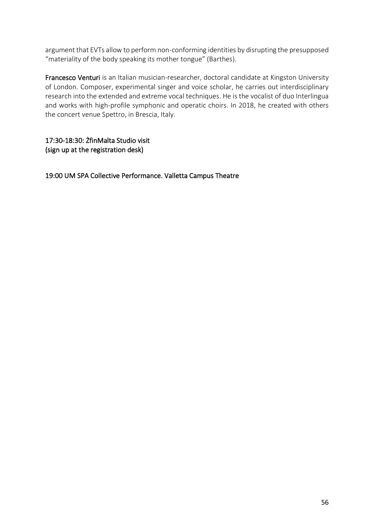argument that EVTs allow to perform non-conforming identities by disrupting the presupposed "materiality of the body speaking its mother tongue" (Barthes).

Francesco Venturi is an Italian musician-researcher, doctoral candidate at Kingston University of London. Composer, experimental singer and voice scholar, he carries out interdisciplinary research into the extended and extreme vocal techniques. He is the vocalist of duo Interlingua and works with high-profile symphonic and operatic choirs. In 2018, he created with others the concert venue Spettro, in Brescia, Italy.

17:30-18:30: ŻfinMalta Studio visit (sign up at the registration desk)

19:00 UM SPA Collective Performance. Valletta Campus Theatre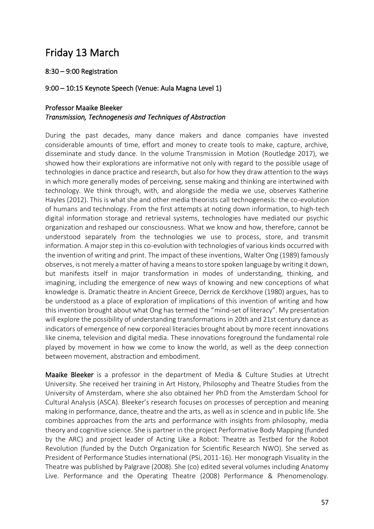# Friday 13 March

## 8:30 – 9:00 Registration

## 9:00 – 10:15 Keynote Speech (Venue: Aula Magna Level 1)

## Professor Maaike Bleeker *Transmission, Technogenesis and Techniques of Abstraction*

During the past decades, many dance makers and dance companies have invested considerable amounts of time, effort and money to create tools to make, capture, archive, disseminate and study dance. In the volume Transmission in Motion (Routledge 2017), we showed how their explorations are informative not only with regard to the possible usage of technologies in dance practice and research, but also for how they draw attention to the ways in which more generally modes of perceiving, sense making and thinking are intertwined with technology. We think through, with, and alongside the media we use, observes Katherine Hayles (2012). This is what she and other media theorists call technogenesis: the co-evolution of humans and technology. From the first attempts at noting down information, to high-tech digital information storage and retrieval systems, technologies have mediated our psychic organization and reshaped our consciousness. What we know and how, therefore, cannot be understood separately from the technologies we use to process, store, and transmit information. A major step in this co-evolution with technologies of various kinds occurred with the invention of writing and print. The impact of these inventions, Walter Ong (1989) famously observes, is not merely a matter of having a means to store spoken language by writing it down, but manifests itself in major transformation in modes of understanding, thinking, and imagining, including the emergence of new ways of knowing and new conceptions of what knowledge is. Dramatic theatre in Ancient Greece, Derrick de Kerckhove (1980) argues, has to be understood as a place of exploration of implications of this invention of writing and how this invention brought about what Ong has termed the "mind-set of literacy". My presentation will explore the possibility of understanding transformations in 20th and 21st century dance as indicators of emergence of new corporeal literacies brought about by more recent innovations like cinema, television and digital media. These innovations foreground the fundamental role played by movement in how we come to know the world, as well as the deep connection between movement, abstraction and embodiment.

Maaike Bleeker is a professor in the department of Media & Culture Studies at Utrecht University. She received her training in Art History, Philosophy and Theatre Studies from the University of Amsterdam, where she also obtained her PhD from the Amsterdam School for Cultural Analysis (ASCA). Bleeker's research focuses on processes of perception and meaning making in performance, dance, theatre and the arts, as well as in science and in public life. She combines approaches from the arts and performance with insights from philosophy, media theory and cognitive science. She is partner in the project Performative Body Mapping (funded by the ARC) and project leader of Acting Like a Robot: Theatre as Testbed for the Robot Revolution (funded by the Dutch Organization for Scientific Research NWO). She served as President of Performance Studies international (PSi, 2011-16). Her monograph Visuality in the Theatre was published by Palgrave (2008). She (co) edited several volumes including Anatomy Live. Performance and the Operating Theatre (2008) Performance & Phenomenology.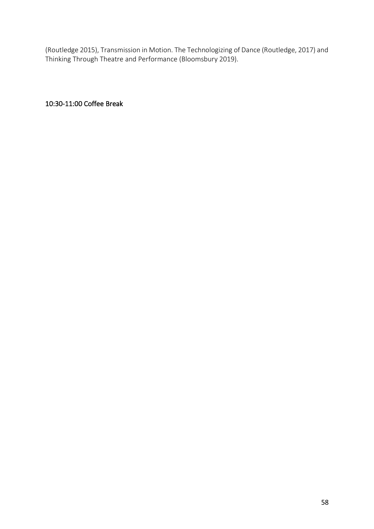(Routledge 2015), Transmission in Motion. The Technologizing of Dance (Routledge, 2017) and Thinking Through Theatre and Performance (Bloomsbury 2019).

10:30-11:00 Coffee Break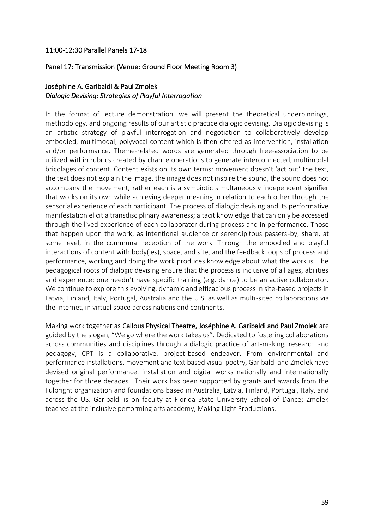#### 11:00-12:30 Parallel Panels 17-18

#### Panel 17: Transmission (Venue: Ground Floor Meeting Room 3)

## Joséphine A. Garibaldi & Paul Zmolek *Dialogic Devising: Strategies of Playful Interrogation*

In the format of lecture demonstration, we will present the theoretical underpinnings, methodology, and ongoing results of our artistic practice dialogic devising. Dialogic devising is an artistic strategy of playful interrogation and negotiation to collaboratively develop embodied, multimodal, polyvocal content which is then offered as intervention, installation and/or performance. Theme-related words are generated through free-association to be utilized within rubrics created by chance operations to generate interconnected, multimodal bricolages of content. Content exists on its own terms: movement doesn't 'act out' the text, the text does not explain the image, the image does not inspire the sound, the sound does not accompany the movement, rather each is a symbiotic simultaneously independent signifier that works on its own while achieving deeper meaning in relation to each other through the sensorial experience of each participant. The process of dialogic devising and its performative manifestation elicit a transdisciplinary awareness; a tacit knowledge that can only be accessed through the lived experience of each collaborator during process and in performance. Those that happen upon the work, as intentional audience or serendipitous passers-by, share, at some level, in the communal reception of the work. Through the embodied and playful interactions of content with body(ies), space, and site, and the feedback loops of process and performance, working and doing the work produces knowledge about what the work is. The pedagogical roots of dialogic devising ensure that the process is inclusive of all ages, abilities and experience; one needn't have specific training (e.g. dance) to be an active collaborator. We continue to explore this evolving, dynamic and efficacious process in site-based projects in Latvia, Finland, Italy, Portugal, Australia and the U.S. as well as multi-sited collaborations via the internet, in virtual space across nations and continents.

Making work together as Callous Physical Theatre, Joséphine A. Garibaldi and Paul Zmolek are guided by the slogan, "We go where the work takes us". Dedicated to fostering collaborations across communities and disciplines through a dialogic practice of art-making, research and pedagogy, CPT is a collaborative, project-based endeavor. From environmental and performance installations, movement and text based visual poetry, Garibaldi and Zmolek have devised original performance, installation and digital works nationally and internationally together for three decades. Their work has been supported by grants and awards from the Fulbright organization and foundations based in Australia, Latvia, Finland, Portugal, Italy, and across the US. Garibaldi is on faculty at Florida State University School of Dance; Zmolek teaches at the inclusive performing arts academy, Making Light Productions.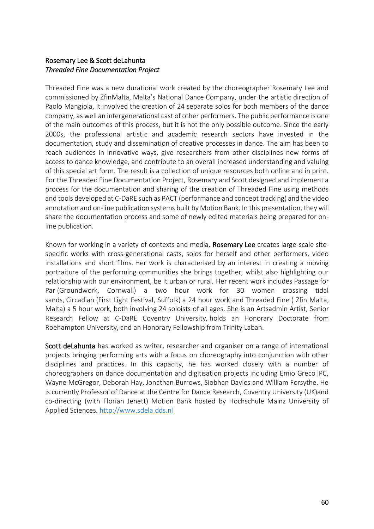## Rosemary Lee & Scott deLahunta *Threaded Fine Documentation Project*

Threaded Fine was a new durational work created by the choreographer Rosemary Lee and commissioned by ŻfinMalta, Malta's National Dance Company, under the artistic direction of Paolo Mangiola. It involved the creation of 24 separate solos for both members of the dance company, as well an intergenerational cast of other performers. The public performance is one of the main outcomes of this process, but it is not the only possible outcome. Since the early 2000s, the professional artistic and academic research sectors have invested in the documentation, study and dissemination of creative processes in dance. The aim has been to reach audiences in innovative ways, give researchers from other disciplines new forms of access to dance knowledge, and contribute to an overall increased understanding and valuing of this special art form. The result is a collection of unique resources both online and in print. For the Threaded Fine Documentation Project, Rosemary and Scott designed and implement a process for the documentation and sharing of the creation of Threaded Fine using methods and tools developed at C-DaRE such as PACT (performance and concept tracking) and the video annotation and on-line publication systems built by Motion Bank. In this presentation, they will share the documentation process and some of newly edited materials being prepared for online publication.

Known for working in a variety of contexts and media, Rosemary Lee creates large-scale sitespecific works with cross-generational casts, solos for herself and other performers, video installations and short films. Her work is characterised by an interest in creating a moving portraiture of the performing communities she brings together, whilst also highlighting our relationship with our environment, be it urban or rural. Her recent work includes Passage for Par (Groundwork, Cornwall) a two hour work for 30 women crossing tidal sands, Circadian (First Light Festival, Suffolk) a 24 hour work and Threaded Fine ( Zfin Malta, Malta) a 5 hour work, both involving 24 soloists of all ages. She is an Artsadmin Artist, Senior Research Fellow at C-DaRE Coventry University, holds an Honorary Doctorate from Roehampton University, and an Honorary Fellowship from Trinity Laban.

Scott deLahunta has worked as writer, researcher and organiser on a range of international projects bringing performing arts with a focus on choreography into conjunction with other disciplines and practices. In this capacity, he has worked closely with a number of choreographers on dance documentation and digitisation projects including Emio Greco|PC, Wayne McGregor, Deborah Hay, Jonathan Burrows, Siobhan Davies and William Forsythe. He is currently Professor of Dance at the Centre for Dance Research, Coventry University (UK)and co-directing (with Florian Jenett) Motion Bank hosted by Hochschule Mainz University of Applied Sciences. [http://www.sdela.dds.nl](http://www.sdela.dds.nl/)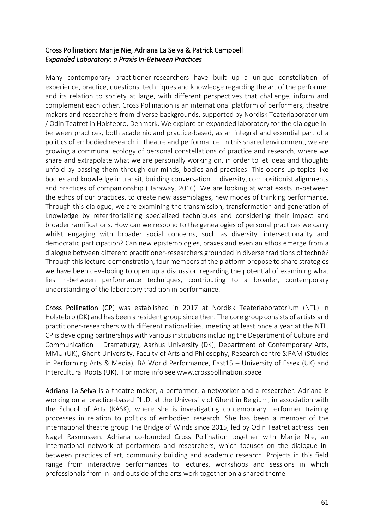## Cross Pollination: Marije Nie, Adriana La Selva & Patrick Campbell *Expanded Laboratory: a Praxis In-Between Practices*

Many contemporary practitioner-researchers have built up a unique constellation of experience, practice, questions, techniques and knowledge regarding the art of the performer and its relation to society at large, with different perspectives that challenge, inform and complement each other. Cross Pollination is an international platform of performers, theatre makers and researchers from diverse backgrounds, supported by Nordisk Teaterlaboratorium / Odin Teatret in Holstebro, Denmark. We explore an expanded laboratory for the dialogue inbetween practices, both academic and practice-based, as an integral and essential part of a politics of embodied research in theatre and performance. In this shared environment, we are growing a communal ecology of personal constellations of practice and research, where we share and extrapolate what we are personally working on, in order to let ideas and thoughts unfold by passing them through our minds, bodies and practices. This opens up topics like bodies and knowledge in transit, building conversation in diversity, compositionist alignments and practices of companionship (Haraway, 2016). We are looking at what exists in-between the ethos of our practices, to create new assemblages, new modes of thinking performance. Through this dialogue, we are examining the transmission, transformation and generation of knowledge by reterritorializing specialized techniques and considering their impact and broader ramifications. How can we respond to the genealogies of personal practices we carry whilst engaging with broader social concerns, such as diversity, intersectionality and democratic participation? Can new epistemologies, praxes and even an ethos emerge from a dialogue between different practitioner-researchers grounded in diverse traditions of techné? Through this lecture-demonstration, four members of the platform propose to share strategies we have been developing to open up a discussion regarding the potential of examining what lies in-between performance techniques, contributing to a broader, contemporary understanding of the laboratory tradition in performance.

Cross Pollination (CP) was established in 2017 at Nordisk Teaterlaboratorium (NTL) in Holstebro (DK) and has been a resident group since then. The core group consists of artists and practitioner-researchers with different nationalities, meeting at least once a year at the NTL. CP is developing partnerships with various institutions including the Department of Culture and Communication – Dramaturgy, Aarhus University (DK), Department of Contemporary Arts, MMU (UK), Ghent University, Faculty of Arts and Philosophy, Research centre S:PAM (Studies in Performing Arts & Media), BA World Performance, East15 – University of Essex (UK) and Intercultural Roots (UK). For more info see www.crosspollination.space

Adriana La Selva is a theatre-maker, a performer, a networker and a researcher. Adriana is working on a practice-based Ph.D. at the University of Ghent in Belgium, in association with the School of Arts (KASK), where she is investigating contemporary performer training processes in relation to politics of embodied research. She has been a member of the international theatre group The Bridge of Winds since 2015, led by Odin Teatret actress Iben Nagel Rasmussen. Adriana co-founded Cross Pollination together with Marije Nie, an international network of performers and researchers, which focuses on the dialogue inbetween practices of art, community building and academic research. Projects in this field range from interactive performances to lectures, workshops and sessions in which professionals from in- and outside of the arts work together on a shared theme.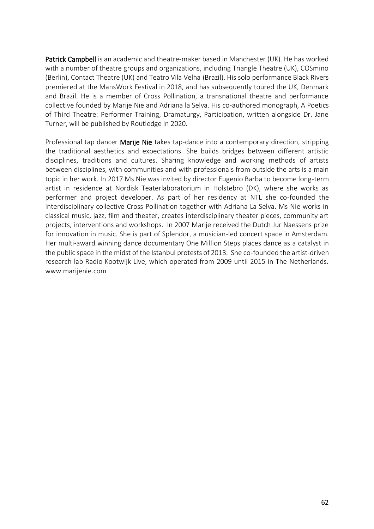Patrick Campbell is an academic and theatre-maker based in Manchester (UK). He has worked with a number of theatre groups and organizations, including Triangle Theatre (UK), COSmino (Berlin), Contact Theatre (UK) and Teatro Vila Velha (Brazil). His solo performance Black Rivers premiered at the MansWork Festival in 2018, and has subsequently toured the UK, Denmark and Brazil. He is a member of Cross Pollination, a transnational theatre and performance collective founded by Marije Nie and Adriana la Selva. His co-authored monograph, A Poetics of Third Theatre: Performer Training, Dramaturgy, Participation, written alongside Dr. Jane Turner, will be published by Routledge in 2020.

Professional tap dancer Marije Nie takes tap-dance into a contemporary direction, stripping the traditional aesthetics and expectations. She builds bridges between different artistic disciplines, traditions and cultures. Sharing knowledge and working methods of artists between disciplines, with communities and with professionals from outside the arts is a main topic in her work. In 2017 Ms Nie was invited by director Eugenio Barba to become long-term artist in residence at Nordisk Teaterlaboratorium in Holstebro (DK), where she works as performer and project developer. As part of her residency at NTL she co-founded the interdisciplinary collective Cross Pollination together with Adriana La Selva. Ms Nie works in classical music, jazz, film and theater, creates interdisciplinary theater pieces, community art projects, interventions and workshops. In 2007 Marije received the Dutch Jur Naessens prize for innovation in music. She is part of Splendor, a musician-led concert space in Amsterdam. Her multi-award winning dance documentary One Million Steps places dance as a catalyst in the public space in the midst of the Istanbul protests of 2013. She co-founded the artist-driven research lab Radio Kootwijk Live, which operated from 2009 until 2015 in The Netherlands. www.marijenie.com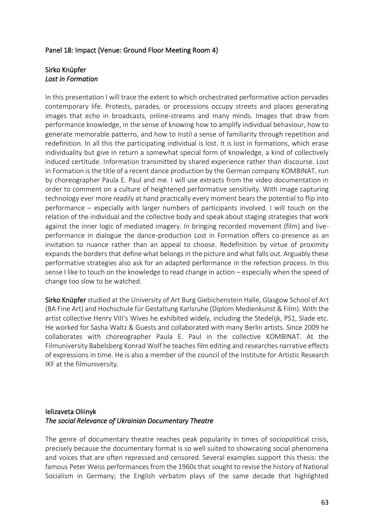#### Panel 18: Impact (Venue: Ground Floor Meeting Room 4)

#### Sirko Knüpfer *Lost in Formation*

In this presentation I will trace the extent to which orchestrated performative action pervades contemporary life. Protests, parades, or processions occupy streets and places generating images that echo in broadcasts, online-streams and many minds. Images that draw from performance knowledge, in the sense of knowing how to amplify individual behaviour, how to generate memorable patterns, and how to instil a sense of familiarity through repetition and redefinition. In all this the participating individual is lost. It is lost in formations, which erase individuality but give in return a somewhat special form of knowledge, a kind of collectively induced certitude. Information transmitted by shared experience rather than discourse. Lost in Formation is the title of a recent dance production by the German company KOMBINAT, run by choreographer Paula E. Paul and me. I will use extracts from the video documentation in order to comment on a culture of heightened performative sensitivity. With image capturing technology ever more readily at hand practically every moment bears the potential to flip into performance – especially with larger numbers of participants involved. I will touch on the relation of the individual and the collective body and speak about staging strategies that work against the inner logic of mediated imagery. In bringing recorded movement (film) and liveperformance in dialogue the dance-production Lost in Formation offers co-presence as an invitation to nuance rather than an appeal to choose. Redefinition by virtue of proximity expands the borders that define what belongs in the picture and what falls out. Arguably these performative strategies also ask for an adapted performance in the refection process. In this sense I like to touch on the knowledge to read change in action – especially when the speed of change too slow to be watched.

Sirko Knüpfer studied at the University of Art Burg Giebichenstein Halle, Glasgow School of Art (BA Fine Art) and Hochschule für Gestaltung Karlsruhe (Diplom Medienkunst & Film). With the artist collective Henry VIII's Wives he exhibited widely, including the Stedelijk, PS1, Slade etc. He worked for Sasha Waltz & Guests and collaborated with many Berlin artists. Since 2009 he collaborates with choreographer Paula E. Paul in the collective KOMBINAT. At the Filmuniversity Babelsberg Konrad Wolf he teaches film editing and researches narrative effects of expressions in time. He is also a member of the council of the Institute for Artistic Research IKF at the filmuniversity.

## Ielizaveta Oliinyk *The social Relevance of Ukrainian Documentary Theatre*

The genre of documentary theatre reaches peak popularity in times of sociopolitical crisis, precisely because the documentary format is so well suited to showcasing social phenomena and voices that are often repressed and censored. Several examples support this thesis: the famous Peter Weiss performances from the 1960s that sought to revise the history of National Socialism in Germany; the English verbatim plays of the same decade that highlighted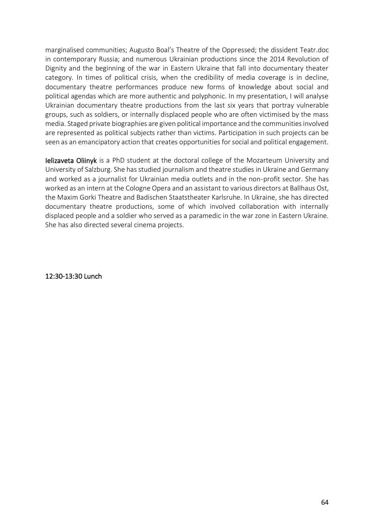marginalised communities; Augusto Boal's Theatre of the Oppressed; the dissident Teatr.doc in contemporary Russia; and numerous Ukrainian productions since the 2014 Revolution of Dignity and the beginning of the war in Eastern Ukraine that fall into documentary theater category. In times of political crisis, when the credibility of media coverage is in decline, documentary theatre performances produce new forms of knowledge about social and political agendas which are more authentic and polyphonic. In my presentation, I will analyse Ukrainian documentary theatre productions from the last six years that portray vulnerable groups, such as soldiers, or internally displaced people who are often victimised by the mass media. Staged private biographies are given political importance and the communities involved are represented as political subjects rather than victims. Participation in such projects can be seen as an emancipatory action that creates opportunities for social and political engagement.

Ielizaveta Oliinyk is a PhD student at the doctoral college of the Mozarteum University and University of Salzburg. She has studied journalism and theatre studies in Ukraine and Germany and worked as a journalist for Ukrainian media outlets and in the non-profit sector. She has worked as an intern at the Cologne Opera and an assistant to various directors at Ballhaus Ost, the Maxim Gorki Theatre and Badischen Staatstheater Karlsruhe. In Ukraine, she has directed documentary theatre productions, some of which involved collaboration with internally displaced people and a soldier who served as a paramedic in the war zone in Eastern Ukraine. She has also directed several cinema projects.

12:30-13:30 Lunch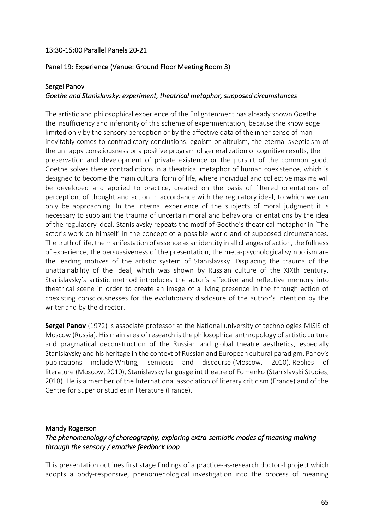## 13:30-15:00 Parallel Panels 20-21

#### Panel 19: Experience (Venue: Ground Floor Meeting Room 3)

#### Sergei Panov

## *Goethe and Stanislavsky: experiment, theatrical metaphor, supposed circumstances*

The artistic and philosophical experience of the Enlightenment has already shown Goethe the insufficiency and inferiority of this scheme of experimentation, because the knowledge limited only by the sensory perception or by the affective data of the inner sense of man inevitably comes to contradictory conclusions: egoism or altruism, the eternal skepticism of the unhappy consciousness or a positive program of generalization of cognitive results, the preservation and development of private existence or the pursuit of the common good. Goethe solves these contradictions in a theatrical metaphor of human coexistence, which is designed to become the main cultural form of life, where individual and collective maxims will be developed and applied to practice, created on the basis of filtered orientations of perception, of thought and action in accordance with the regulatory ideal, to which we can only be approaching. In the internal experience of the subjects of moral judgment it is necessary to supplant the trauma of uncertain moral and behavioral orientations by the idea of the regulatory ideal. Stanislavsky repeats the motif of Goethe's theatrical metaphor in 'The actor's work on himself' in the concept of a possible world and of supposed circumstances. The truth of life, the manifestation of essence as an identity in all changes of action, the fullness of experience, the persuasiveness of the presentation, the meta-psychological symbolism are the leading motives of the artistic system of Stanislavsky. Displacing the trauma of the unattainability of the ideal, which was shown by Russian culture of the XIXth century, Stanislavsky's artistic method introduces the actor's affective and reflective memory into theatrical scene in order to create an image of a living presence in the through action of coexisting consciousnesses for the evolutionary disclosure of the author's intention by the writer and by the director.

**Sergei Panov** (1972) is associate professor at the National university of technologies MISIS of Moscow (Russia). His main area of research is the philosophical anthropology of artistic culture and pragmatical deconstruction of the Russian and global theatre aesthetics, especially Stanislavsky and his heritage in the context of Russian and European cultural paradigm. Panov's publications include Writing, semiosis and discourse (Moscow, 2010), Replies of literature (Moscow, 2010), Stanislavsky language int theatre of Fomenko (Stanislavski Studies, 2018). He is a member of the International association of literary criticism (France) and of the Centre for superior studies in literature (France).

#### Mandy Rogerson

# *The phenomenology of choreography; exploring extra-semiotic modes of meaning making through the sensory / emotive feedback loop*

This presentation outlines first stage findings of a practice-as-research doctoral project which adopts a body-responsive, phenomenological investigation into the process of meaning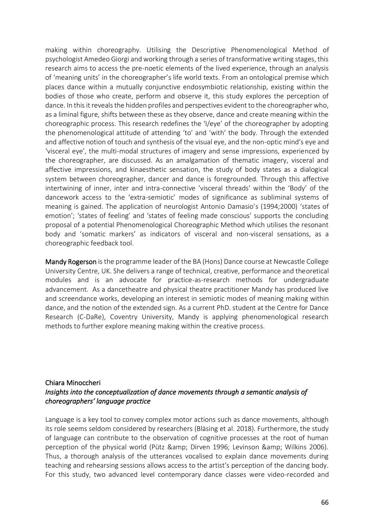making within choreography. Utilising the Descriptive Phenomenological Method of psychologist Amedeo Giorgi and working through a series of transformative writing stages, this research aims to access the pre-noetic elements of the lived experience, through an analysis of 'meaning units' in the choreographer's life world texts. From an ontological premise which places dance within a mutually conjunctive endosymbiotic relationship, existing within the bodies of those who create, perform and observe it, this study explores the perception of dance. In this it reveals the hidden profiles and perspectives evident to the choreographer who, as a liminal figure, shifts between these as they observe, dance and create meaning within the choreographic process. This research redefines the 'I/eye' of the choreographer by adopting the phenomenological attitude of attending 'to' and 'with' the body. Through the extended and affective notion of touch and synthesis of the visual eye, and the non-optic mind's eye and 'visceral eye', the multi-modal structures of imagery and sense impressions, experienced by the choreographer, are discussed. As an amalgamation of thematic imagery, visceral and affective impressions, and kinaesthetic sensation, the study of body states as a dialogical system between choreographer, dancer and dance is foregrounded. Through this affective intertwining of inner, inter and intra-connective 'visceral threads' within the 'Body' of the dancework access to the 'extra-semiotic' modes of significance as subliminal systems of meaning is gained. The application of neurologist Antonio Damasio's (1994;2000) 'states of emotion'; 'states of feeling' and 'states of feeling made conscious' supports the concluding proposal of a potential Phenomenological Choreographic Method which utilises the resonant body and 'somatic markers' as indicators of visceral and non-visceral sensations, as a choreographic feedback tool.

Mandy Rogerson is the programme leader of the BA (Hons) Dance course at Newcastle College University Centre, UK. She delivers a range of technical, creative, performance and theoretical modules and is an advocate for practice-as-research methods for undergraduate advancement. As a dancetheatre and physical theatre practitioner Mandy has produced live and screendance works, developing an interest in semiotic modes of meaning making within dance, and the notion of the extended sign. As a current PhD. student at the Centre for Dance Research (C-DaRe), Coventry University, Mandy is applying phenomenological research methods to further explore meaning making within the creative process.

## Chiara Minoccheri *Insights into the conceptualization of dance movements through a semantic analysis of choreographers' language practice*

Language is a key tool to convey complex motor actions such as dance movements, although its role seems seldom considered by researchers (Bläsing et al. 2018). Furthermore, the study of language can contribute to the observation of cognitive processes at the root of human perception of the physical world (Pütz & amp; Dirven 1996; Levinson & amp; Wilkins 2006). Thus, a thorough analysis of the utterances vocalised to explain dance movements during teaching and rehearsing sessions allows access to the artist's perception of the dancing body. For this study, two advanced level contemporary dance classes were video-recorded and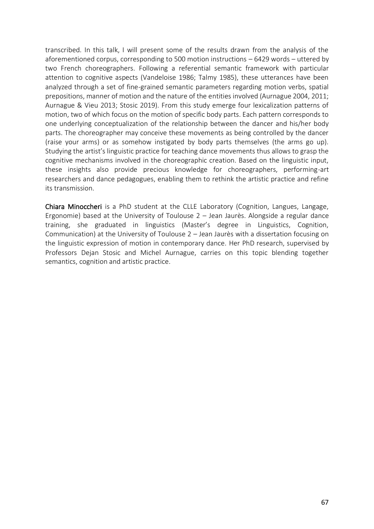transcribed. In this talk, I will present some of the results drawn from the analysis of the aforementioned corpus, corresponding to 500 motion instructions – 6429 words – uttered by two French choreographers. Following a referential semantic framework with particular attention to cognitive aspects (Vandeloise 1986; Talmy 1985), these utterances have been analyzed through a set of fine-grained semantic parameters regarding motion verbs, spatial prepositions, manner of motion and the nature of the entities involved (Aurnague 2004, 2011; Aurnague & Vieu 2013; Stosic 2019). From this study emerge four lexicalization patterns of motion, two of which focus on the motion of specific body parts. Each pattern corresponds to one underlying conceptualization of the relationship between the dancer and his/her body parts. The choreographer may conceive these movements as being controlled by the dancer (raise your arms) or as somehow instigated by body parts themselves (the arms go up). Studying the artist's linguistic practice for teaching dance movements thus allows to grasp the cognitive mechanisms involved in the choreographic creation. Based on the linguistic input, these insights also provide precious knowledge for choreographers, performing-art researchers and dance pedagogues, enabling them to rethink the artistic practice and refine its transmission.

Chiara Minoccheri is a PhD student at the CLLE Laboratory (Cognition, Langues, Langage, Ergonomie) based at the University of Toulouse 2 – Jean Jaurès. Alongside a regular dance training, she graduated in linguistics (Master's degree in Linguistics, Cognition, Communication) at the University of Toulouse 2 – Jean Jaurès with a dissertation focusing on the linguistic expression of motion in contemporary dance. Her PhD research, supervised by Professors Dejan Stosic and Michel Aurnague, carries on this topic blending together semantics, cognition and artistic practice.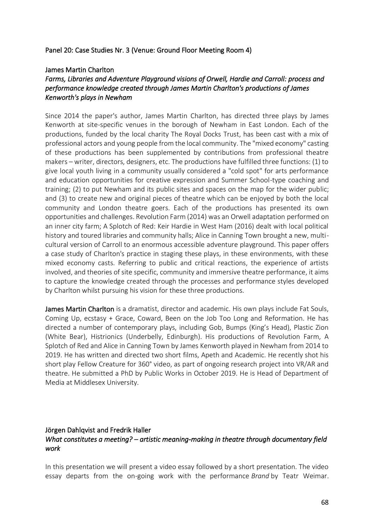#### Panel 20: Case Studies Nr. 3 (Venue: Ground Floor Meeting Room 4)

#### James Martin Charlton

## *Farms, Libraries and Adventure Playground visions of Orwell, Hardie and Carroll: process and performance knowledge created through James Martin Charlton's productions of James Kenworth's plays in Newham*

Since 2014 the paper's author, James Martin Charlton, has directed three plays by James Kenworth at site-specific venues in the borough of Newham in East London. Each of the productions, funded by the local charity The Royal Docks Trust, has been cast with a mix of professional actors and young people from the local community. The "mixed economy" casting of these productions has been supplemented by contributions from professional theatre makers – writer, directors, designers, etc. The productions have fulfilled three functions: (1) to give local youth living in a community usually considered a "cold spot" for arts performance and education opportunities for creative expression and Summer School-type coaching and training; (2) to put Newham and its public sites and spaces on the map for the wider public; and (3) to create new and original pieces of theatre which can be enjoyed by both the local community and London theatre goers. Each of the productions has presented its own opportunities and challenges. Revolution Farm (2014) was an Orwell adaptation performed on an inner city farm; A Splotch of Red: Keir Hardie in West Ham (2016) dealt with local political history and toured libraries and community halls; Alice in Canning Town brought a new, multicultural version of Carroll to an enormous accessible adventure playground. This paper offers a case study of Charlton's practice in staging these plays, in these environments, with these mixed economy casts. Referring to public and critical reactions, the experience of artists involved, and theories of site specific, community and immersive theatre performance, it aims to capture the knowledge created through the processes and performance styles developed by Charlton whilst pursuing his vision for these three productions.

James Martin Charlton is a dramatist, director and academic. His own plays include Fat Souls, Coming Up, ecstasy + Grace, Coward, Been on the Job Too Long and Reformation. He has directed a number of contemporary plays, including Gob, Bumps (King's Head), Plastic Zion (White Bear), Histrionics (Underbelly, Edinburgh). His productions of Revolution Farm, A Splotch of Red and Alice in Canning Town by James Kenworth played in Newham from 2014 to 2019. He has written and directed two short films, Apeth and Academic. He recently shot his short play Fellow Creature for 360° video, as part of ongoing research project into VR/AR and theatre. He submitted a PhD by Public Works in October 2019. He is Head of Department of Media at Middlesex University.

## Jörgen Dahlqvist and Fredrik Haller *What constitutes a meeting? – artistic meaning-making in theatre through documentary field work*

In this presentation we will present a video essay followed by a short presentation. The video essay departs from the on-going work with the performance *Brand* by Teatr Weimar.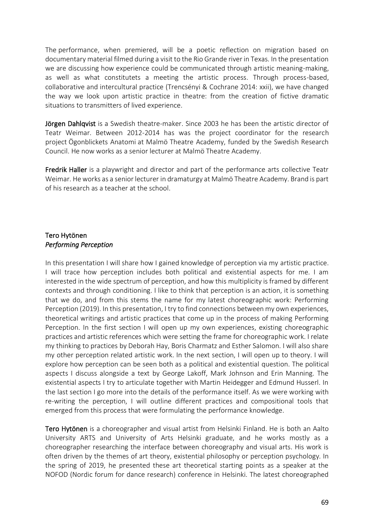The performance, when premiered, will be a poetic reflection on migration based on documentary material filmed during a visit to the Rio Grande river in Texas. In the presentation we are discussing how experience could be communicated through artistic meaning-making, as well as what constitutets a meeting the artistic process. Through process-based, collaborative and intercultural practice (Trencsényi & Cochrane 2014: xxii), we have changed the way we look upon artistic practice in theatre: from the creation of fictive dramatic situations to transmitters of lived experience.

Jörgen Dahlqvist is a Swedish theatre-maker. Since 2003 he has been the artistic director of Teatr Weimar. Between 2012-2014 has was the project coordinator for the research project Ögonblickets Anatomi at Malmö Theatre Academy, funded by the Swedish Research Council. He now works as a senior lecturer at Malmö Theatre Academy.

Fredrik Haller is a playwright and director and part of the performance arts collective Teatr Weimar. He works as a senior lecturer in dramaturgy at Malmö Theatre Academy. Brand is part of his research as a teacher at the school.

## Tero Hytönen *Performing Perception*

In this presentation I will share how I gained knowledge of perception via my artistic practice. I will trace how perception includes both political and existential aspects for me. I am interested in the wide spectrum of perception, and how this multiplicity is framed by different contexts and through conditioning. I like to think that perception is an action, it is something that we do, and from this stems the name for my latest choreographic work: Performing Perception (2019). In this presentation, I try to find connections between my own experiences, theoretical writings and artistic practices that come up in the process of making Performing Perception. In the first section I will open up my own experiences, existing choreographic practices and artistic references which were setting the frame for choreographic work. I relate my thinking to practices by Deborah Hay, Boris Charmatz and Esther Salomon. I will also share my other perception related artistic work. In the next section, I will open up to theory. I will explore how perception can be seen both as a political and existential question. The political aspects I discuss alongside a text by George Lakoff, Mark Johnson and Erin Manning. The existential aspects I try to articulate together with Martin Heidegger and Edmund Husserl. In the last section I go more into the details of the performance itself. As we were working with re-writing the perception, I will outline different practices and compositional tools that emerged from this process that were formulating the performance knowledge.

Tero Hytönen is a choreographer and visual artist from Helsinki Finland. He is both an Aalto University ARTS and University of Arts Helsinki graduate, and he works mostly as a choreographer researching the interface between choreography and visual arts. His work is often driven by the themes of art theory, existential philosophy or perception psychology. In the spring of 2019, he presented these art theoretical starting points as a speaker at the NOFOD (Nordic forum for dance research) conference in Helsinki. The latest choreographed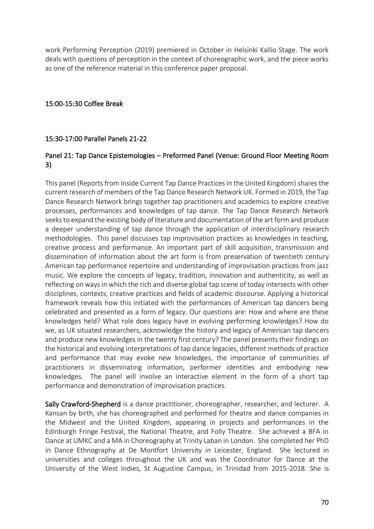work Performing Perception (2019) premiered in October in Helsinki Kallio Stage. The work deals with questions of perception in the context of choreographic work, and the piece works as one of the reference material in this conference paper proposal.

## 15:00-15:30 Coffee Break

## 15:30-17:00 Parallel Panels 21-22

## Panel 21: Tap Dance Epistemologies – Preformed Panel (Venue: Ground Floor Meeting Room 3)

This panel (Reports from Inside Current Tap Dance Practices in the United Kingdom) shares the current research of members of the Tap Dance Research Network UK. Formed in 2019, the Tap Dance Research Network brings together tap practitioners and academics to explore creative processes, performances and knowledges of tap dance. The Tap Dance Research Network seeks to expand the existing body of literature and documentation of the art form and produce a deeper understanding of tap dance through the application of interdisciplinary research methodologies. This panel discusses tap improvisation practices as knowledges in teaching, creative process and performance. An important part of skill acquisition, transmission and dissemination of information about the art form is from preservation of twentieth century American tap performance repertoire and understanding of improvisation practices from jazz music. We explore the concepts of legacy, tradition, innovation and authenticity, as well as reflecting on ways in which the rich and diverse global tap scene of today intersects with other disciplines, contexts, creative practices and fields of academic discourse. Applying a historical framework reveals how this initiated with the performances of American tap dancers being celebrated and presented as a form of legacy. Our questions are: How and where are these knowledges held? What role does legacy have in evolving performing knowledges? How do we, as UK situated researchers, acknowledge the history and legacy of American tap dancers and produce new knowledges in the twenty first century? The panel presents their findings on the historical and evolving interpretations of tap dance legacies, different methods of practice and performance that may evoke new knowledges, the importance of communities of practitioners in disseminating information, performer identities and embodying new knowledges. The panel will involve an interactive element in the form of a short tap performance and demonstration of improvisation practices.

Sally Crawford-Shepherd is a dance practitioner, choreographer, researcher, and lecturer. A Kansan by birth, she has choreographed and performed for theatre and dance companies in the Midwest and the United Kingdom, appearing in projects and performances in the Edinburgh Fringe Festival, the National Theatre, and Folly Theatre. She achieved a BFA in Dance at UMKC and a MA in Choreography at Trinity Laban in London. She completed her PhD in Dance Ethnography at De Montfort University in Leicester, England. She lectured in universities and colleges throughout the UK and was the Coordinator for Dance at the University of the West Indies, St Augustine Campus, in Trinidad from 2015-2018. She is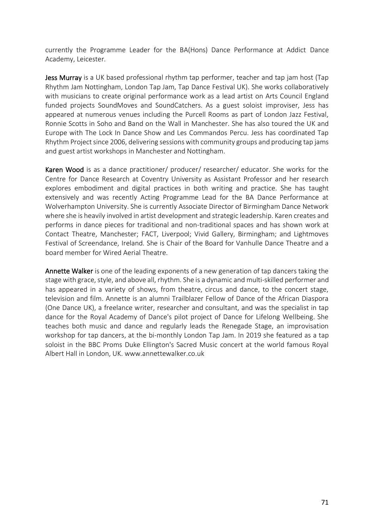currently the Programme Leader for the BA(Hons) Dance Performance at Addict Dance Academy, Leicester.

Jess Murray is a UK based professional rhythm tap performer, teacher and tap jam host (Tap Rhythm Jam Nottingham, London Tap Jam, Tap Dance Festival UK). She works collaboratively with musicians to create original performance work as a lead artist on Arts Council England funded projects SoundMoves and SoundCatchers. As a guest soloist improviser, Jess has appeared at numerous venues including the Purcell Rooms as part of London Jazz Festival, Ronnie Scotts in Soho and Band on the Wall in Manchester. She has also toured the UK and Europe with The Lock In Dance Show and Les Commandos Percu. Jess has coordinated Tap Rhythm Project since 2006, delivering sessions with community groups and producing tap jams and guest artist workshops in Manchester and Nottingham.

Karen Wood is as a dance practitioner/ producer/ researcher/ educator. She works for the Centre for Dance Research at Coventry University as Assistant Professor and her research explores embodiment and digital practices in both writing and practice. She has taught extensively and was recently Acting Programme Lead for the BA Dance Performance at Wolverhampton University. She is currently Associate Director of Birmingham Dance Network where she is heavily involved in artist development and strategic leadership. Karen creates and performs in dance pieces for traditional and non-traditional spaces and has shown work at Contact Theatre, Manchester; FACT, Liverpool; Vivid Gallery, Birmingham; and Lightmoves Festival of Screendance, Ireland. She is Chair of the Board for Vanhulle Dance Theatre and a board member for Wired Aerial Theatre.

Annette Walker is one of the leading exponents of a new generation of tap dancers taking the stage with grace, style, and above all, rhythm. She is a dynamic and multi-skilled performer and has appeared in a variety of shows, from theatre, circus and dance, to the concert stage, television and film. Annette is an alumni Trailblazer Fellow of Dance of the African Diaspora (One Dance UK), a freelance writer, researcher and consultant, and was the specialist in tap dance for the Royal Academy of Dance's pilot project of Dance for Lifelong Wellbeing. She teaches both music and dance and regularly leads the Renegade Stage, an improvisation workshop for tap dancers, at the bi-monthly London Tap Jam. In 2019 she featured as a tap soloist in the BBC Proms Duke Ellington's Sacred Music concert at the world famous Royal Albert Hall in London, UK. www.annettewalker.co.uk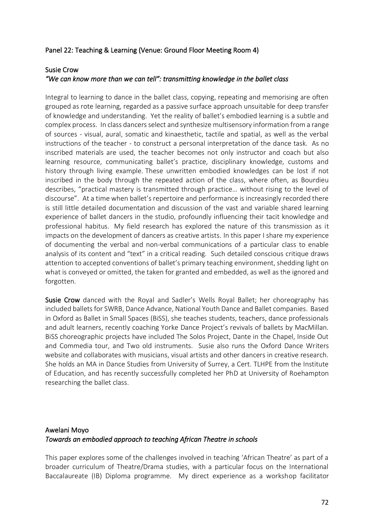## Panel 22: Teaching & Learning (Venue: Ground Floor Meeting Room 4)

#### Susie Crow

## *"We can know more than we can tell": transmitting knowledge in the ballet class*

Integral to learning to dance in the ballet class, copying, repeating and memorising are often grouped as rote learning, regarded as a passive surface approach unsuitable for deep transfer of knowledge and understanding. Yet the reality of ballet's embodied learning is a subtle and complex process. In class dancers select and synthesize multisensory information from a range of sources - visual, aural, somatic and kinaesthetic, tactile and spatial, as well as the verbal instructions of the teacher - to construct a personal interpretation of the dance task. As no inscribed materials are used, the teacher becomes not only instructor and coach but also learning resource, communicating ballet's practice, disciplinary knowledge, customs and history through living example. These unwritten embodied knowledges can be lost if not inscribed in the body through the repeated action of the class, where often, as Bourdieu describes, "practical mastery is transmitted through practice… without rising to the level of discourse". At a time when ballet's repertoire and performance is increasingly recorded there is still little detailed documentation and discussion of the vast and variable shared learning experience of ballet dancers in the studio, profoundly influencing their tacit knowledge and professional habitus. My field research has explored the nature of this transmission as it impacts on the development of dancers as creative artists. In this paper I share my experience of documenting the verbal and non-verbal communications of a particular class to enable analysis of its content and "text" in a critical reading. Such detailed conscious critique draws attention to accepted conventions of ballet's primary teaching environment, shedding light on what is conveyed or omitted, the taken for granted and embedded, as well as the ignored and forgotten.

Susie Crow danced with the Royal and Sadler's Wells Royal Ballet; her choreography has included ballets for SWRB, Dance Advance, National Youth Dance and Ballet companies. Based in Oxford as Ballet in Small Spaces (BiSS), she teaches students, teachers, dance professionals and adult learners, recently coaching Yorke Dance Project's revivals of ballets by MacMillan. BiSS choreographic projects have included The Solos Project, Dante in the Chapel, Inside Out and Commedia tour, and Two old instruments. Susie also runs the Oxford Dance Writers website and collaborates with musicians, visual artists and other dancers in creative research. She holds an MA in Dance Studies from University of Surrey, a Cert. TLHPE from the Institute of Education, and has recently successfully completed her PhD at University of Roehampton researching the ballet class.

# Awelani Moyo *Towards an embodied approach to teaching African Theatre in schools*

This paper explores some of the challenges involved in teaching 'African Theatre' as part of a broader curriculum of Theatre/Drama studies, with a particular focus on the International Baccalaureate (IB) Diploma programme. My direct experience as a workshop facilitator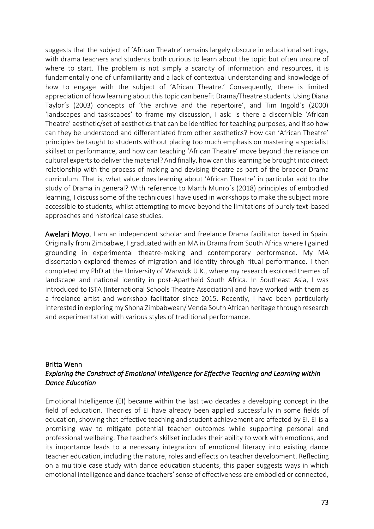suggests that the subject of 'African Theatre' remains largely obscure in educational settings, with drama teachers and students both curious to learn about the topic but often unsure of where to start. The problem is not simply a scarcity of information and resources, it is fundamentally one of unfamiliarity and a lack of contextual understanding and knowledge of how to engage with the subject of 'African Theatre.' Consequently, there is limited appreciation of how learning about this topic can benefit Drama/Theatre students. Using Diana Taylor´s (2003) concepts of 'the archive and the repertoire', and Tim Ingold´s (2000) 'landscapes and taskscapes' to frame my discussion, I ask: Is there a discernible 'African Theatre' aesthetic/set of aesthetics that can be identified for teaching purposes, and if so how can they be understood and differentiated from other aesthetics? How can 'African Theatre' principles be taught to students without placing too much emphasis on mastering a specialist skillset or performance, and how can teaching 'African Theatre' move beyond the reliance on cultural experts to deliver the material? And finally, how can this learning be brought into direct relationship with the process of making and devising theatre as part of the broader Drama curriculum. That is, what value does learning about 'African Theatre' in particular add to the study of Drama in general? With reference to Marth Munro´s (2018) principles of embodied learning, I discuss some of the techniques I have used in workshops to make the subject more accessible to students, whilst attempting to move beyond the limitations of purely text-based approaches and historical case studies.

Awelani Moyo. I am an independent scholar and freelance Drama facilitator based in Spain. Originally from Zimbabwe, I graduated with an MA in Drama from South Africa where I gained grounding in experimental theatre-making and contemporary performance. My MA dissertation explored themes of migration and identity through ritual performance. I then completed my PhD at the University of Warwick U.K., where my research explored themes of landscape and national identity in post-Apartheid South Africa. In Southeast Asia, I was introduced to ISTA (International Schools Theatre Association) and have worked with them as a freelance artist and workshop facilitator since 2015. Recently, I have been particularly interested in exploring my Shona Zimbabwean/ Venda South African heritage through research and experimentation with various styles of traditional performance.

## Britta Wenn *Exploring the Construct of Emotional Intelligence for Effective Teaching and Learning within Dance Education*

Emotional Intelligence (EI) became within the last two decades a developing concept in the field of education. Theories of EI have already been applied successfully in some fields of education, showing that effective teaching and student achievement are affected by EI. EI is a promising way to mitigate potential teacher outcomes while supporting personal and professional wellbeing. The teacher's skillset includes their ability to work with emotions, and its importance leads to a necessary integration of emotional literacy into existing dance teacher education, including the nature, roles and effects on teacher development. Reflecting on a multiple case study with dance education students, this paper suggests ways in which emotional intelligence and dance teachers' sense of effectiveness are embodied or connected,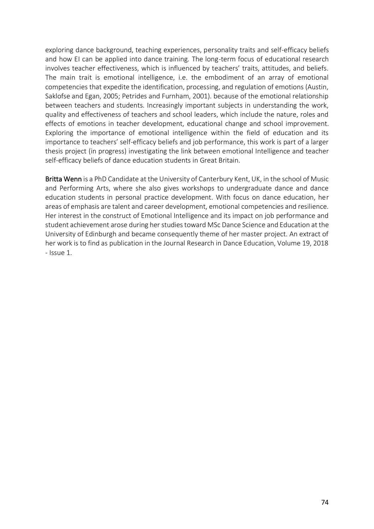exploring dance background, teaching experiences, personality traits and self-efficacy beliefs and how EI can be applied into dance training. The long-term focus of educational research involves teacher effectiveness, which is influenced by teachers' traits, attitudes, and beliefs. The main trait is emotional intelligence, i.e. the embodiment of an array of emotional competencies that expedite the identification, processing, and regulation of emotions (Austin, Saklofse and Egan, 2005; Petrides and Furnham, 2001). because of the emotional relationship between teachers and students. Increasingly important subjects in understanding the work, quality and effectiveness of teachers and school leaders, which include the nature, roles and effects of emotions in teacher development, educational change and school improvement. Exploring the importance of emotional intelligence within the field of education and its importance to teachers' self-efficacy beliefs and job performance, this work is part of a larger thesis project (in progress) investigating the link between emotional Intelligence and teacher self-efficacy beliefs of dance education students in Great Britain.

Britta Wenn is a PhD Candidate at the University of Canterbury Kent, UK, in the school of Music and Performing Arts, where she also gives workshops to undergraduate dance and dance education students in personal practice development. With focus on dance education, her areas of emphasis are talent and career development, emotional competencies and resilience. Her interest in the construct of Emotional Intelligence and its impact on job performance and student achievement arose during her studies toward MSc Dance Science and Education at the University of Edinburgh and became consequently theme of her master project. An extract of her work is to find as publication in the Journal Research in Dance Education, Volume 19, 2018 - Issue 1.